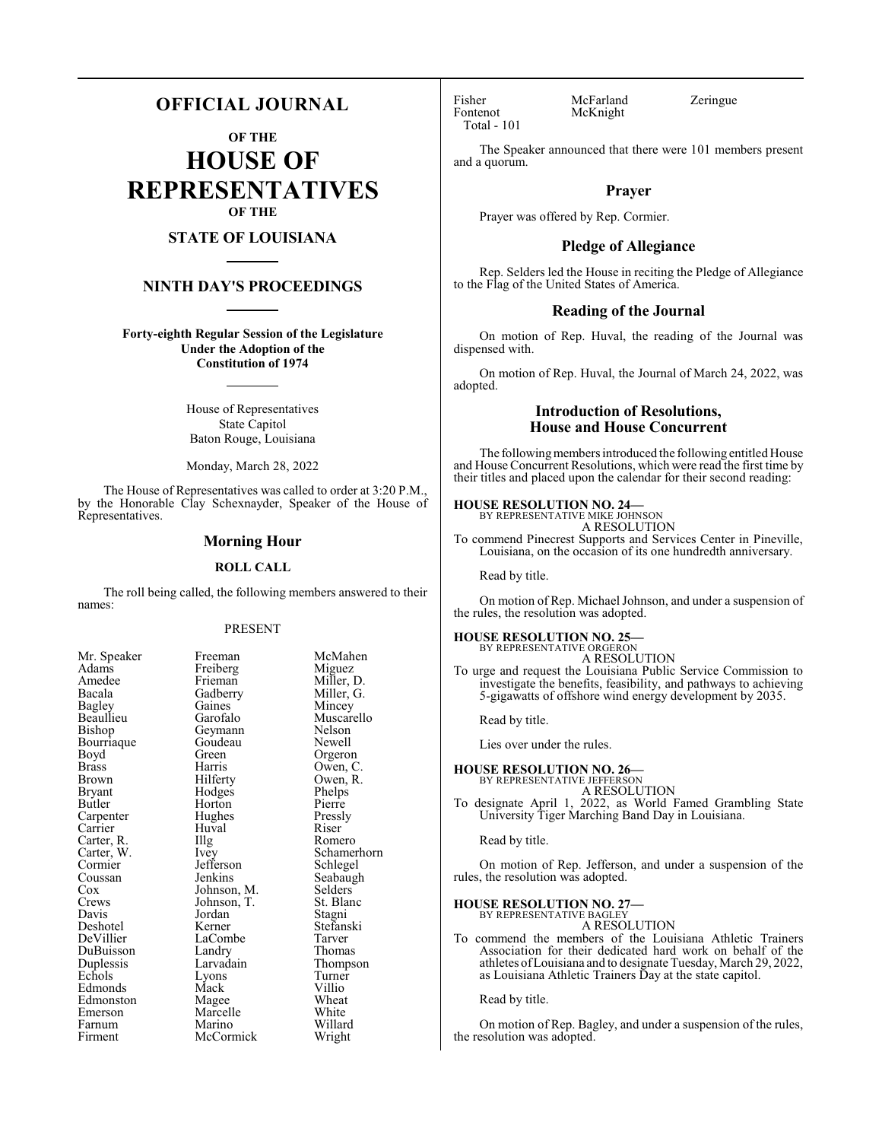## **OFFICIAL JOURNAL**

**OF THE**

**HOUSE OF REPRESENTATIVES OF THE**

## **STATE OF LOUISIANA**

## **NINTH DAY'S PROCEEDINGS**

**Forty-eighth Regular Session of the Legislature Under the Adoption of the Constitution of 1974**

> House of Representatives State Capitol Baton Rouge, Louisiana

> Monday, March 28, 2022

The House of Representatives was called to order at 3:20 P.M., by the Honorable Clay Schexnayder, Speaker of the House of Representatives.

#### **Morning Hour**

#### **ROLL CALL**

The roll being called, the following members answered to their names:

#### PRESENT

Freiberg<br>Frieman

Huval<br>Illg

| Mr. Speaker           |
|-----------------------|
| Adams                 |
| Amedee                |
| Bacala                |
| <b>Bagley</b>         |
| Beaullieu             |
| Bishop                |
| Bourriaque            |
| Boyd                  |
| <b>Brass</b>          |
| Brown                 |
| Bryant                |
| Butler                |
| Carpenter<br>Carrier  |
|                       |
| Carter, R.            |
| Carter, W.<br>Cormier |
|                       |
| Coussan               |
| Cox<br>Crews          |
|                       |
| Davis                 |
| Deshotel<br>DeVillier |
|                       |
| DuBuisson             |
| Duplessis             |
| Echols                |
| Edmonds               |
| Edmonston             |
| Emerson               |
| Farnum                |
| Firment               |

Freeman McMahen<br>Freiberg Miguez Frieman Miller, D.<br>Gadberry Miller, G. Gadberry Miller, G.<br>Gaines Mincey Gaines Mincey<br>Garofalo Muscare Geymann Nelson<br>Goudeau Newell Goudeau Green Orgeron<br>Harris Owen, C Harris Owen, C.<br>Hilferty Owen, R. Hodges Phelps<br>
Horton Pierre Horton Pierre<br>Hughes Pressly Hughes Pressl<br>Huval Riser The Romero<br>
Ivev Schamer Jefferson<br>Jenkins Johnson, M. Selders<br>Johnson, T. St. Blanc Johnson, T.<br>Jordan Jordan Stagni<br>Kerner Stefans LaCombe<br>Landry Landry Thomas<br>Larvadain Thomas Larvadain Thompson<br>Lyons Turner Mack Villio<br>
Magee Wheat Magee Wheat<br>
Marcelle White Marcelle Marino Willard<br>
McCormick Wright McCormick

Muscarello<br>Nelson

Owen, R.<br>Phelps

Schamerhorn<br>Schlegel

Seabaugh<br>Selders

Stefanski<br>Tarver

Turner<br>Villio

Fisher McFarland Zeringue<br>Fontenot McKnight Total - 101

McKnight

The Speaker announced that there were 101 members present and a quorum.

## **Prayer**

Prayer was offered by Rep. Cormier.

#### **Pledge of Allegiance**

Rep. Selders led the House in reciting the Pledge of Allegiance to the Flag of the United States of America.

#### **Reading of the Journal**

On motion of Rep. Huval, the reading of the Journal was dispensed with.

On motion of Rep. Huval, the Journal of March 24, 2022, was adopted.

## **Introduction of Resolutions, House and House Concurrent**

The following members introduced the following entitled House and House Concurrent Resolutions, which were read the first time by their titles and placed upon the calendar for their second reading:

## **HOUSE RESOLUTION NO. 24—** BY REPRESENTATIVE MIKE JOHNSON

A RESOLUTION

To commend Pinecrest Supports and Services Center in Pineville, Louisiana, on the occasion of its one hundredth anniversary.

Read by title.

On motion of Rep. Michael Johnson, and under a suspension of the rules, the resolution was adopted.

#### **HOUSE RESOLUTION NO. 25—**

BY REPRESENTATIVE ORGERON A RESOLUTION

To urge and request the Louisiana Public Service Commission to investigate the benefits, feasibility, and pathways to achieving 5-gigawatts of offshore wind energy development by 2035.

Read by title.

Lies over under the rules.

#### **HOUSE RESOLUTION NO. 26—**

BY REPRESENTATIVE JEFFERSON A RESOLUTION

To designate April 1, 2022, as World Famed Grambling State University Tiger Marching Band Day in Louisiana.

Read by title.

On motion of Rep. Jefferson, and under a suspension of the rules, the resolution was adopted.

#### **HOUSE RESOLUTION NO. 27—**

BY REPRESENTATIVE BAGLEY A RESOLUTION

To commend the members of the Louisiana Athletic Trainers Association for their dedicated hard work on behalf of the athletes ofLouisiana and to designate Tuesday, March 29, 2022, as Louisiana Athletic Trainers Day at the state capitol.

Read by title.

On motion of Rep. Bagley, and under a suspension of the rules, the resolution was adopted.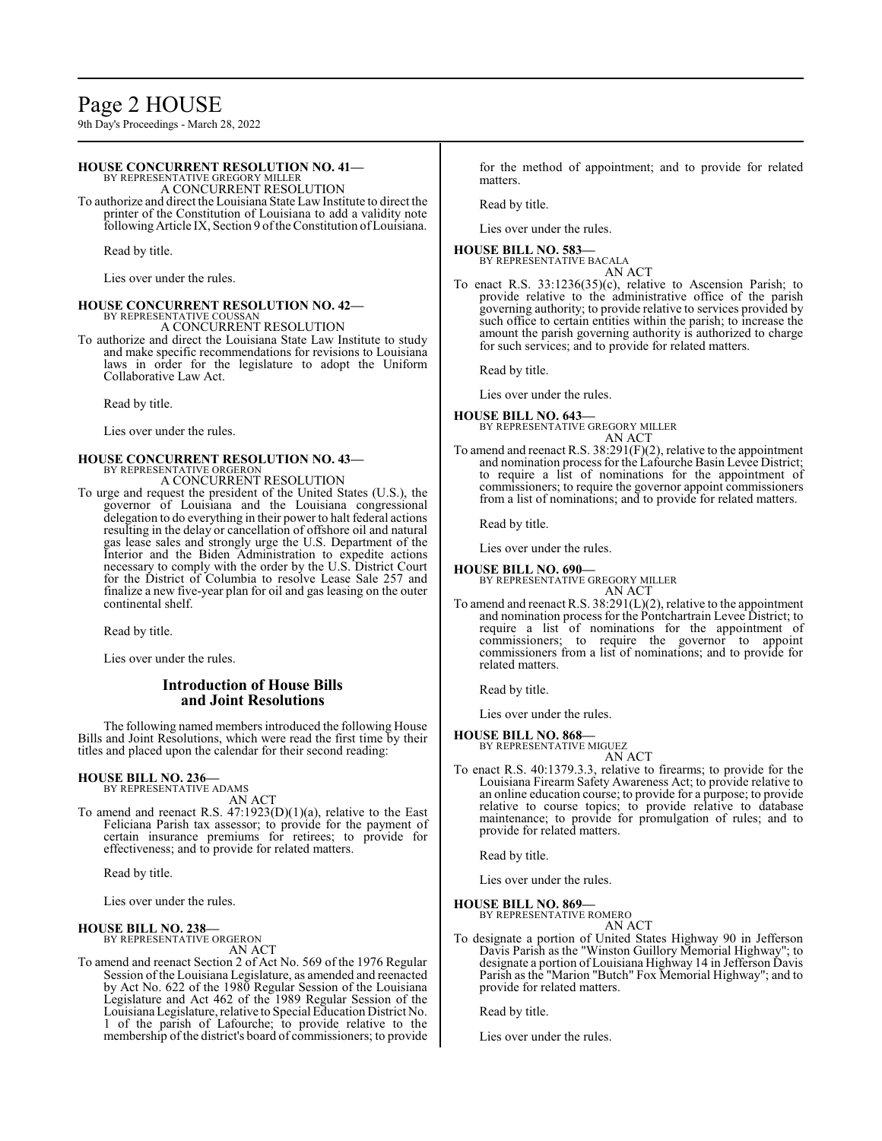# Page 2 HOUSE

9th Day's Proceedings - March 28, 2022

#### **HOUSE CONCURRENT RESOLUTION NO. 41—**

BY REPRESENTATIVE GREGORY MILLER A CONCURRENT RESOLUTION

To authorize and direct the Louisiana State Law Institute to direct the printer of the Constitution of Louisiana to add a validity note following Article IX, Section 9 ofthe Constitution ofLouisiana.

Read by title.

Lies over under the rules.

# **HOUSE CONCURRENT RESOLUTION NO. 42—** BY REPRESENTATIVE COUSSAN

A CONCURRENT RESOLUTION

To authorize and direct the Louisiana State Law Institute to study and make specific recommendations for revisions to Louisiana laws in order for the legislature to adopt the Uniform Collaborative Law Act.

Read by title.

Lies over under the rules.

#### **HOUSE CONCURRENT RESOLUTION NO. 43—** BY REPRESENTATIVE ORGERON

A CONCURRENT RESOLUTION

To urge and request the president of the United States (U.S.), the governor of Louisiana and the Louisiana congressional delegation to do everything in their power to halt federal actions resulting in the delay or cancellation of offshore oil and natural gas lease sales and strongly urge the U.S. Department of the Interior and the Biden Administration to expedite actions necessary to comply with the order by the U.S. District Court for the District of Columbia to resolve Lease Sale 257 and finalize a new five-year plan for oil and gas leasing on the outer continental shelf.

Read by title.

Lies over under the rules.

## **Introduction of House Bills and Joint Resolutions**

The following named members introduced the following House Bills and Joint Resolutions, which were read the first time by their titles and placed upon the calendar for their second reading:

## **HOUSE BILL NO. 236—** BY REPRESENTATIVE ADAMS

AN ACT

To amend and reenact R.S. 47:1923(D)(1)(a), relative to the East Feliciana Parish tax assessor; to provide for the payment of certain insurance premiums for retirees; to provide for effectiveness; and to provide for related matters.

Read by title.

Lies over under the rules.

#### **HOUSE BILL NO. 238—**

BY REPRESENTATIVE ORGERON AN ACT

To amend and reenact Section 2 of Act No. 569 of the 1976 Regular Session of the Louisiana Legislature, as amended and reenacted by Act No. 622 of the 1980 Regular Session of the Louisiana Legislature and Act 462 of the 1989 Regular Session of the LouisianaLegislature, relative to Special Education District No. 1 of the parish of Lafourche; to provide relative to the membership of the district's board of commissioners; to provide

for the method of appointment; and to provide for related matters.

Read by title.

Lies over under the rules.

#### **HOUSE BILL NO. 583—** BY REPRESENTATIVE BACALA

AN ACT

To enact R.S. 33:1236(35)(c), relative to Ascension Parish; to provide relative to the administrative office of the parish governing authority; to provide relative to services provided by such office to certain entities within the parish; to increase the amount the parish governing authority is authorized to charge for such services; and to provide for related matters.

Read by title.

Lies over under the rules.

#### **HOUSE BILL NO. 643—**

BY REPRESENTATIVE GREGORY MILLER AN ACT

To amend and reenact R.S. 38:291(F)(2), relative to the appointment and nomination process for the Lafourche Basin Levee District; to require a list of nominations for the appointment of commissioners; to require the governor appoint commissioners from a list of nominations; and to provide for related matters.

Read by title.

Lies over under the rules.

## **HOUSE BILL NO. 690—**

BY REPRESENTATIVE GREGORY MILLER AN ACT

To amend and reenact R.S. 38:291(L)(2), relative to the appointment and nomination process for the Pontchartrain Levee District; to require a list of nominations for the appointment of commissioners; to require the governor to appoint commissioners from a list of nominations; and to provide for related matters.

Read by title.

Lies over under the rules.

## **HOUSE BILL NO. 868—**

BY REPRESENTATIVE MIGUEZ AN ACT

To enact R.S. 40:1379.3.3, relative to firearms; to provide for the Louisiana Firearm Safety Awareness Act; to provide relative to an online education course; to provide for a purpose; to provide relative to course topics; to provide relative to database maintenance; to provide for promulgation of rules; and to provide for related matters.

Read by title.

Lies over under the rules.

**HOUSE BILL NO. 869—**

BY REPRESENTATIVE ROMERO AN ACT

To designate a portion of United States Highway 90 in Jefferson Davis Parish as the "Winston Guillory Memorial Highway"; to designate a portion of Louisiana Highway 14 in Jefferson Davis Parish as the "Marion "Butch" Fox Memorial Highway"; and to provide for related matters.

Read by title.

Lies over under the rules.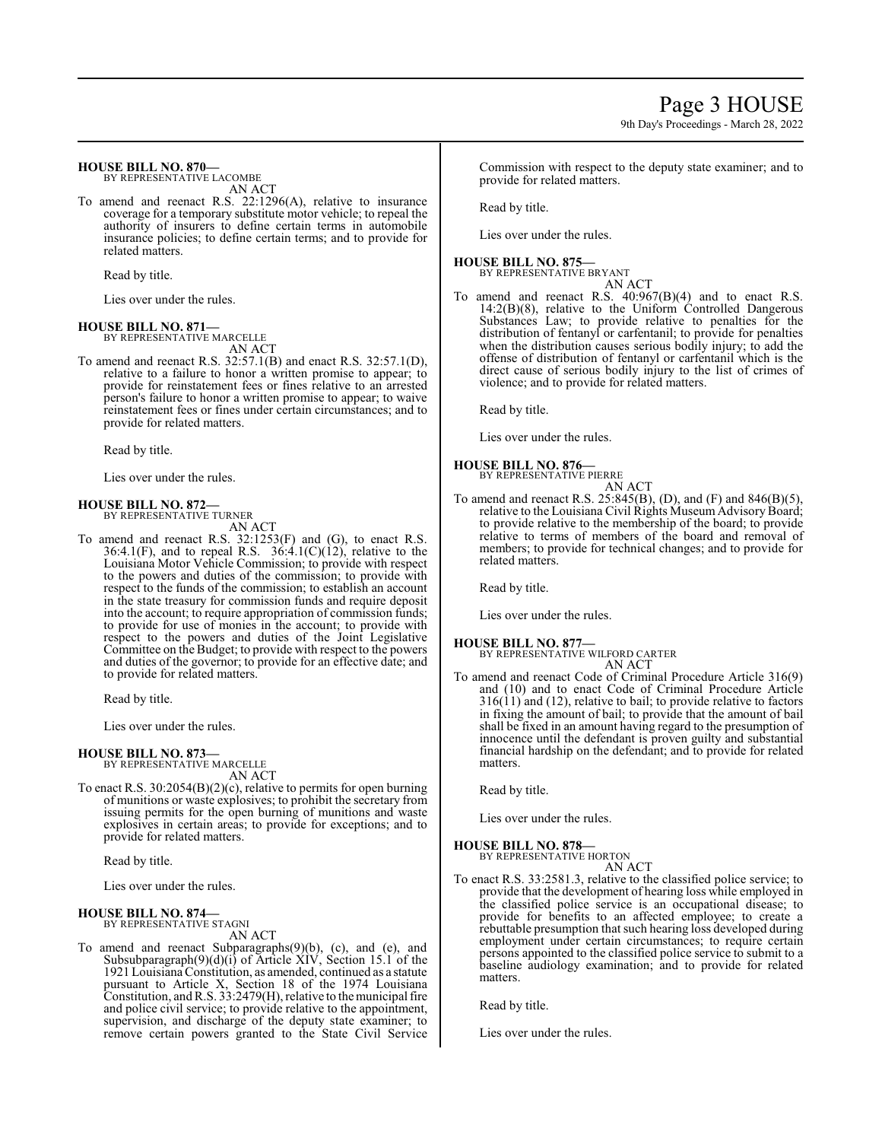## **HOUSE BILL NO. 870—**

BY REPRESENTATIVE LACOMBE AN ACT

To amend and reenact R.S. 22:1296(A), relative to insurance coverage for a temporary substitute motor vehicle; to repeal the authority of insurers to define certain terms in automobile insurance policies; to define certain terms; and to provide for related matters.

Read by title.

Lies over under the rules.

#### **HOUSE BILL NO. 871—** BY REPRESENTATIVE MARCELLE

AN ACT To amend and reenact R.S. 32:57.1(B) and enact R.S. 32:57.1(D), relative to a failure to honor a written promise to appear; to provide for reinstatement fees or fines relative to an arrested person's failure to honor a written promise to appear; to waive reinstatement fees or fines under certain circumstances; and to provide for related matters.

Read by title.

Lies over under the rules.

## **HOUSE BILL NO. 872—**

BY REPRESENTATIVE TURNER AN ACT

To amend and reenact R.S. 32:1253(F) and (G), to enact R.S. 36:4.1(F), and to repeal R.S. 36:4.1(C)(12), relative to the Louisiana Motor Vehicle Commission; to provide with respect to the powers and duties of the commission; to provide with respect to the funds of the commission; to establish an account in the state treasury for commission funds and require deposit into the account; to require appropriation of commission funds; to provide for use of monies in the account; to provide with respect to the powers and duties of the Joint Legislative Committee on the Budget; to provide with respect to the powers and duties of the governor; to provide for an effective date; and to provide for related matters.

Read by title.

Lies over under the rules.

## **HOUSE BILL NO. 873—**

BY REPRESENTATIVE MARCELLE AN ACT

To enact R.S. 30:2054(B)(2)(c), relative to permits for open burning of munitions or waste explosives; to prohibit the secretary from issuing permits for the open burning of munitions and waste explosives in certain areas; to provide for exceptions; and to provide for related matters.

Read by title.

Lies over under the rules.

#### **HOUSE BILL NO. 874—** BY REPRESENTATIVE STAGNI

AN ACT

To amend and reenact Subparagraphs(9)(b), (c), and (e), and Subsubparagraph(9)(d)(i) of Article XIV, Section 15.1 of the 1921 Louisiana Constitution, as amended, continued as a statute pursuant to Article X, Section 18 of the 1974 Louisiana Constitution, andR.S. 33:2479(H), relative to the municipal fire and police civil service; to provide relative to the appointment, supervision, and discharge of the deputy state examiner; to remove certain powers granted to the State Civil Service Commission with respect to the deputy state examiner; and to provide for related matters.

Read by title.

Lies over under the rules.

## **HOUSE BILL NO. 875—**

BY REPRESENTATIVE BRYANT AN ACT

To amend and reenact R.S. 40:967(B)(4) and to enact R.S. 14:2(B)(8), relative to the Uniform Controlled Dangerous Substances Law; to provide relative to penalties for the distribution of fentanyl or carfentanil; to provide for penalties when the distribution causes serious bodily injury; to add the offense of distribution of fentanyl or carfentanil which is the direct cause of serious bodily injury to the list of crimes of violence; and to provide for related matters.

Read by title.

Lies over under the rules.

## **HOUSE BILL NO. 876—**

BY REPRESENTATIVE PIERRE AN ACT

To amend and reenact R.S. 25:845(B), (D), and (F) and 846(B)(5), relative to the Louisiana Civil Rights Museum Advisory Board; to provide relative to the membership of the board; to provide relative to terms of members of the board and removal of members; to provide for technical changes; and to provide for related matters.

Read by title.

Lies over under the rules.

#### **HOUSE BILL NO. 877—**

BY REPRESENTATIVE WILFORD CARTER AN ACT

To amend and reenact Code of Criminal Procedure Article 316(9) and (10) and to enact Code of Criminal Procedure Article  $316(11)$  and (12), relative to bail; to provide relative to factors in fixing the amount of bail; to provide that the amount of bail shall be fixed in an amount having regard to the presumption of innocence until the defendant is proven guilty and substantial financial hardship on the defendant; and to provide for related matters.

Read by title.

Lies over under the rules.

## **HOUSE BILL NO. 878—** BY REPRESENTATIVE HORTON

AN ACT

To enact R.S. 33:2581.3, relative to the classified police service; to provide that the development of hearing loss while employed in the classified police service is an occupational disease; to provide for benefits to an affected employee; to create a rebuttable presumption that such hearing loss developed during employment under certain circumstances; to require certain persons appointed to the classified police service to submit to a baseline audiology examination; and to provide for related matters.

Read by title.

Lies over under the rules.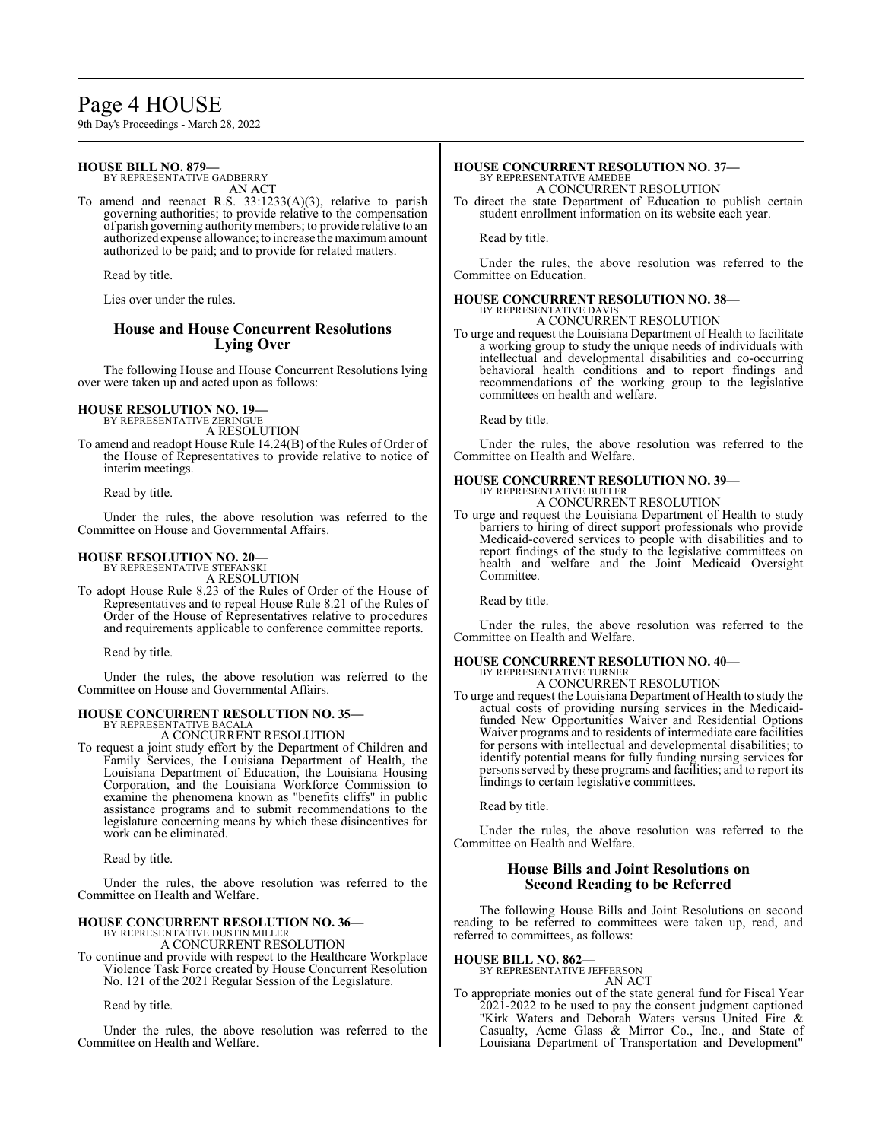## Page 4 HOUSE

9th Day's Proceedings - March 28, 2022

## **HOUSE BILL NO. 879—**

BY REPRESENTATIVE GADBERRY AN ACT

To amend and reenact R.S. 33:1233(A)(3), relative to parish governing authorities; to provide relative to the compensation of parish governing authority members; to provide relative to an authorized expense allowance; to increase the maximum amount authorized to be paid; and to provide for related matters.

Read by title.

Lies over under the rules.

## **House and House Concurrent Resolutions Lying Over**

The following House and House Concurrent Resolutions lying over were taken up and acted upon as follows:

## **HOUSE RESOLUTION NO. 19—**

BY REPRESENTATIVE ZERINGUE A RESOLUTION

To amend and readopt House Rule 14.24(B) of the Rules of Order of the House of Representatives to provide relative to notice of interim meetings.

Read by title.

Under the rules, the above resolution was referred to the Committee on House and Governmental Affairs.

## **HOUSE RESOLUTION NO. 20—**

BY REPRESENTATIVE STEFANSKI A RESOLUTION

To adopt House Rule 8.23 of the Rules of Order of the House of Representatives and to repeal House Rule 8.21 of the Rules of Order of the House of Representatives relative to procedures and requirements applicable to conference committee reports.

Read by title.

Under the rules, the above resolution was referred to the Committee on House and Governmental Affairs.

## **HOUSE CONCURRENT RESOLUTION NO. 35—**

BY REPRESENTATIVE BACALA A CONCURRENT RESOLUTION

To request a joint study effort by the Department of Children and Family Services, the Louisiana Department of Health, the Louisiana Department of Education, the Louisiana Housing Corporation, and the Louisiana Workforce Commission to examine the phenomena known as "benefits cliffs" in public assistance programs and to submit recommendations to the legislature concerning means by which these disincentives for work can be eliminated.

Read by title.

Under the rules, the above resolution was referred to the Committee on Health and Welfare.

#### **HOUSE CONCURRENT RESOLUTION NO. 36—** BY REPRESENTATIVE DUSTIN MILLER

A CONCURRENT RESOLUTION

To continue and provide with respect to the Healthcare Workplace Violence Task Force created by House Concurrent Resolution No. 121 of the 2021 Regular Session of the Legislature.

Read by title.

Under the rules, the above resolution was referred to the Committee on Health and Welfare.

# **HOUSE CONCURRENT RESOLUTION NO. 37—** BY REPRESENTATIVE AMEDEE

A CONCURRENT RESOLUTION

To direct the state Department of Education to publish certain student enrollment information on its website each year.

Read by title.

Under the rules, the above resolution was referred to the Committee on Education.

#### **HOUSE CONCURRENT RESOLUTION NO. 38—** BY REPRESENTATIVE DAVIS

A CONCURRENT RESOLUTION To urge and request the Louisiana Department of Health to facilitate

a working group to study the unique needs of individuals with intellectual and developmental disabilities and co-occurring behavioral health conditions and to report findings and recommendations of the working group to the legislative committees on health and welfare.

Read by title.

Under the rules, the above resolution was referred to the Committee on Health and Welfare.

## **HOUSE CONCURRENT RESOLUTION NO. 39—** BY REPRESENTATIVE BUTLER

A CONCURRENT RESOLUTION

To urge and request the Louisiana Department of Health to study barriers to hiring of direct support professionals who provide Medicaid-covered services to people with disabilities and to report findings of the study to the legislative committees on health and welfare and the Joint Medicaid Oversight Committee.

Read by title.

Under the rules, the above resolution was referred to the Committee on Health and Welfare.

#### **HOUSE CONCURRENT RESOLUTION NO. 40—** BY REPRESENTATIVE TURNER

A CONCURRENT RESOLUTION

To urge and request the Louisiana Department of Health to study the actual costs of providing nursing services in the Medicaidfunded New Opportunities Waiver and Residential Options Waiver programs and to residents of intermediate care facilities for persons with intellectual and developmental disabilities; to identify potential means for fully funding nursing services for persons served by these programs and facilities; and to report its findings to certain legislative committees.

Read by title.

Under the rules, the above resolution was referred to the Committee on Health and Welfare.

## **House Bills and Joint Resolutions on Second Reading to be Referred**

The following House Bills and Joint Resolutions on second reading to be referred to committees were taken up, read, and referred to committees, as follows:

**HOUSE BILL NO. 862—**

BY REPRESENTATIVE JEFFERSON AN ACT

To appropriate monies out of the state general fund for Fiscal Year 2021-2022 to be used to pay the consent judgment captioned "Kirk Waters and Deborah Waters versus United Fire & Casualty, Acme Glass & Mirror Co., Inc., and State of Louisiana Department of Transportation and Development"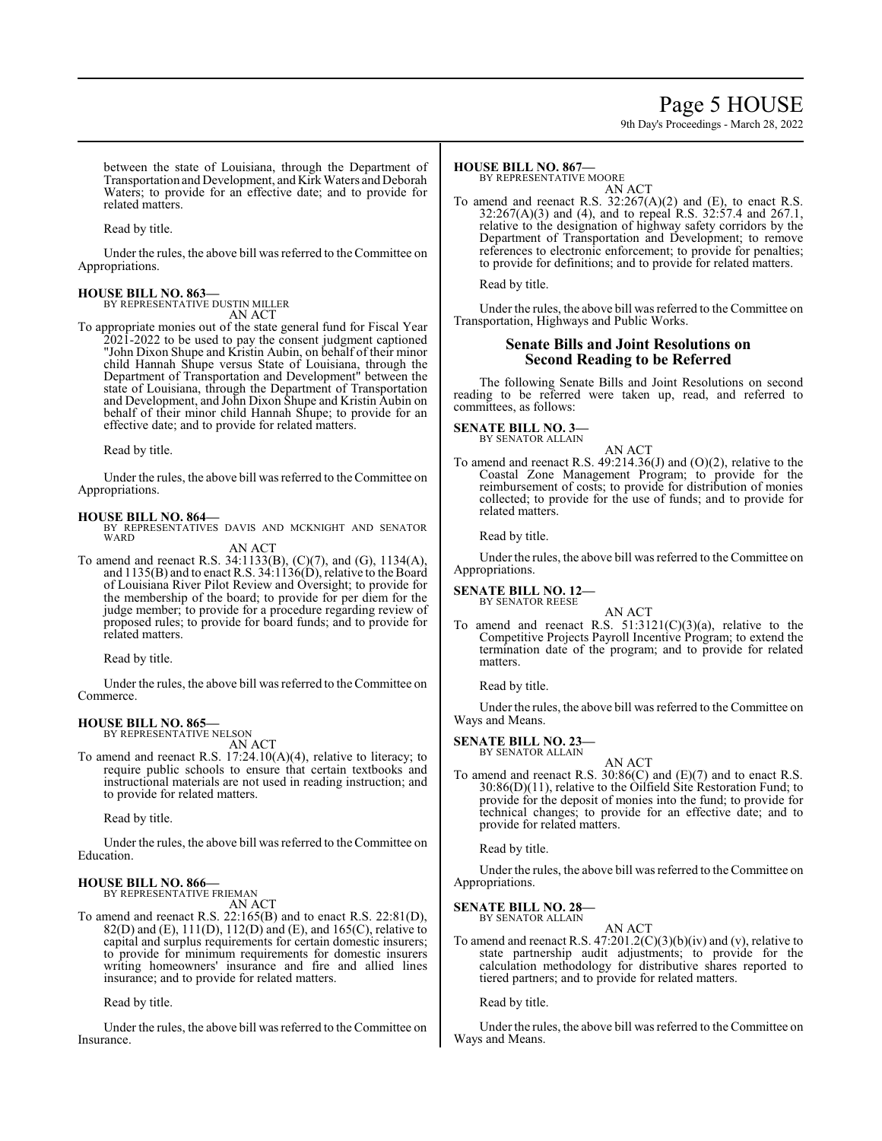## Page 5 HOUSE

9th Day's Proceedings - March 28, 2022

between the state of Louisiana, through the Department of Transportation and Development, and Kirk Waters and Deborah Waters; to provide for an effective date; and to provide for related matters.

Read by title.

Under the rules, the above bill was referred to the Committee on Appropriations.

## **HOUSE BILL NO. 863—** BY REPRESENTATIVE DUSTIN MILLER

AN ACT

To appropriate monies out of the state general fund for Fiscal Year 2021-2022 to be used to pay the consent judgment captioned "John Dixon Shupe and Kristin Aubin, on behalf of their minor child Hannah Shupe versus State of Louisiana, through the Department of Transportation and Development" between the state of Louisiana, through the Department of Transportation and Development, and John Dixon Shupe and Kristin Aubin on behalf of their minor child Hannah Shupe; to provide for an effective date; and to provide for related matters.

Read by title.

Under the rules, the above bill was referred to the Committee on Appropriations.

#### **HOUSE BILL NO. 864—**

BY REPRESENTATIVES DAVIS AND MCKNIGHT AND SENATOR **WARD** AN ACT

To amend and reenact R.S. 34:1133(B), (C)(7), and (G), 1134(A), and 1135(B) and to enact R.S. 34:1136(D), relative to the Board of Louisiana River Pilot Review and Oversight; to provide for the membership of the board; to provide for per diem for the judge member; to provide for a procedure regarding review of proposed rules; to provide for board funds; and to provide for related matters.

Read by title.

Under the rules, the above bill was referred to the Committee on Commerce.

#### **HOUSE BILL NO. 865—**

BY REPRESENTATIVE NELSON AN ACT

To amend and reenact R.S. 17:24.10(A)(4), relative to literacy; to require public schools to ensure that certain textbooks and instructional materials are not used in reading instruction; and to provide for related matters.

Read by title.

Under the rules, the above bill was referred to the Committee on Education.

#### **HOUSE BILL NO. 866—**

BY REPRESENTATIVE FRIEMAN

AN ACT To amend and reenact R.S. 22:165(B) and to enact R.S. 22:81(D), 82(D) and (E), 111(D), 112(D) and (E), and 165(C), relative to capital and surplus requirements for certain domestic insurers; to provide for minimum requirements for domestic insurers writing homeowners' insurance and fire and allied lines insurance; and to provide for related matters.

Read by title.

Under the rules, the above bill was referred to the Committee on Insurance.

### **HOUSE BILL NO. 867—**

BY REPRESENTATIVE MOORE

AN ACT To amend and reenact R.S. 32:267(A)(2) and (E), to enact R.S. 32:267(A)(3) and (4), and to repeal R.S. 32:57.4 and 267.1, relative to the designation of highway safety corridors by the Department of Transportation and Development; to remove references to electronic enforcement; to provide for penalties; to provide for definitions; and to provide for related matters.

Read by title.

Under the rules, the above bill was referred to the Committee on Transportation, Highways and Public Works.

### **Senate Bills and Joint Resolutions on Second Reading to be Referred**

The following Senate Bills and Joint Resolutions on second reading to be referred were taken up, read, and referred to committees, as follows:

#### **SENATE BILL NO. 3—** BY SENATOR ALLAIN

AN ACT

To amend and reenact R.S. 49:214.36(J) and (O)(2), relative to the Coastal Zone Management Program; to provide for the reimbursement of costs; to provide for distribution of monies collected; to provide for the use of funds; and to provide for related matters.

Read by title.

Under the rules, the above bill was referred to the Committee on Appropriations.

## **SENATE BILL NO. 12—** BY SENATOR REESE

AN ACT To amend and reenact R.S.  $51:3121(C)(3)(a)$ , relative to the Competitive Projects Payroll Incentive Program; to extend the termination date of the program; and to provide for related matters.

Read by title.

Under the rules, the above bill was referred to the Committee on Ways and Means.

#### **SENATE BILL NO. 23—** BY SENATOR ALLAIN

AN ACT

To amend and reenact R.S. 30:86(C) and (E)(7) and to enact R.S. 30:86(D)(11), relative to the Oilfield Site Restoration Fund; to provide for the deposit of monies into the fund; to provide for technical changes; to provide for an effective date; and to provide for related matters.

Read by title.

Under the rules, the above bill was referred to the Committee on Appropriations.

**SENATE BILL NO. 28—**

BY SENATOR ALLAIN

AN ACT To amend and reenact R.S. 47:201.2(C)(3)(b)(iv) and (v), relative to state partnership audit adjustments; to provide for the calculation methodology for distributive shares reported to tiered partners; and to provide for related matters.

Read by title.

Under the rules, the above bill was referred to the Committee on Ways and Means.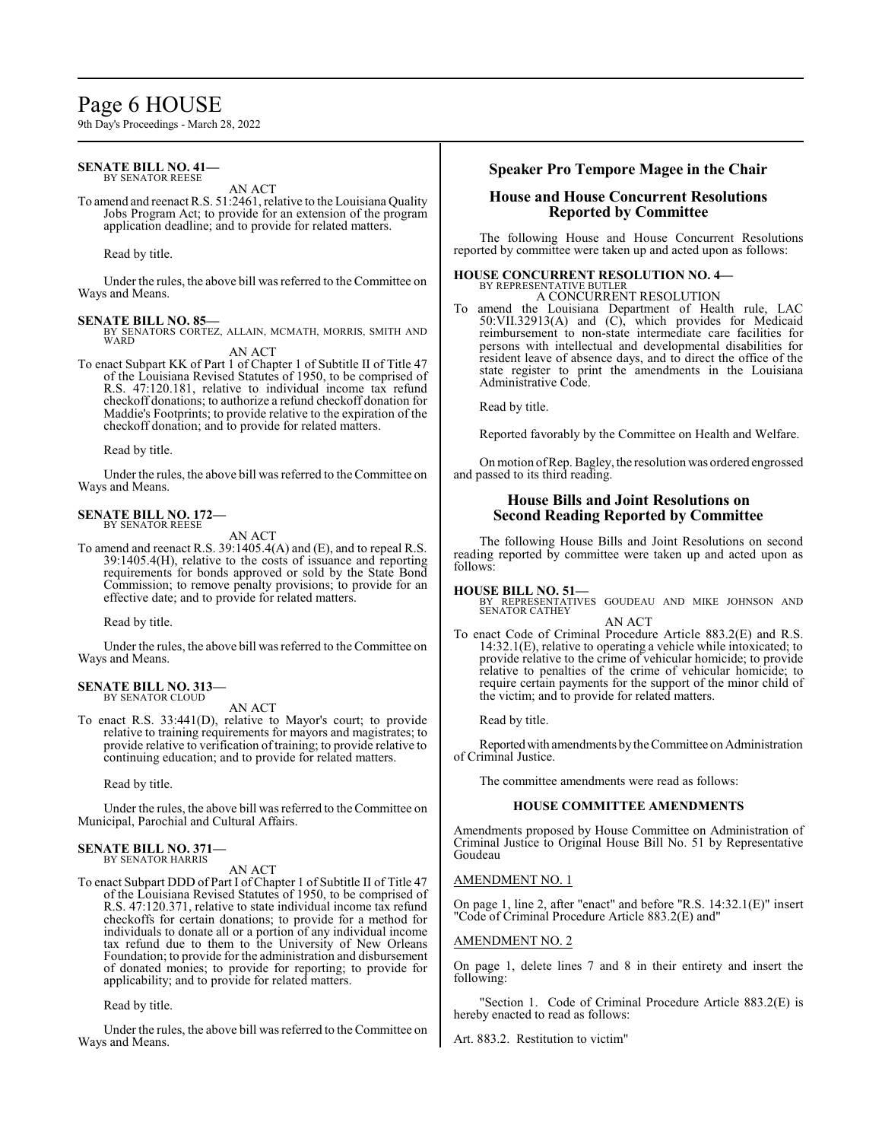## Page 6 HOUSE

9th Day's Proceedings - March 28, 2022

#### **SENATE BILL NO. 41—** BY SENATOR REESE

AN ACT

To amend and reenact R.S. 51:2461, relative to the Louisiana Quality Jobs Program Act; to provide for an extension of the program application deadline; and to provide for related matters.

Read by title.

Under the rules, the above bill was referred to the Committee on Ways and Means.

**SENATE BILL NO. 85—** BY SENATORS CORTEZ, ALLAIN, MCMATH, MORRIS, SMITH AND WARD

AN ACT

To enact Subpart KK of Part 1 of Chapter 1 of Subtitle II of Title 47 of the Louisiana Revised Statutes of 1950, to be comprised of R.S. 47:120.181, relative to individual income tax refund checkoff donations; to authorize a refund checkoff donation for Maddie's Footprints; to provide relative to the expiration of the checkoff donation; and to provide for related matters.

Read by title.

Under the rules, the above bill was referred to the Committee on Ways and Means.

## **SENATE BILL NO. 172—**

BY SENATOR REESE

AN ACT

To amend and reenact R.S. 39:1405.4(A) and (E), and to repeal R.S. 39:1405.4(H), relative to the costs of issuance and reporting requirements for bonds approved or sold by the State Bond Commission; to remove penalty provisions; to provide for an effective date; and to provide for related matters.

Read by title.

Under the rules, the above bill was referred to the Committee on Ways and Means.

#### **SENATE BILL NO. 313—** BY SENATOR CLOUD

AN ACT

To enact R.S. 33:441(D), relative to Mayor's court; to provide relative to training requirements for mayors and magistrates; to provide relative to verification of training; to provide relative to continuing education; and to provide for related matters.

Read by title.

Under the rules, the above bill was referred to the Committee on Municipal, Parochial and Cultural Affairs.

#### **SENATE BILL NO. 371—** BY SENATOR HARRIS

AN ACT

To enact Subpart DDD of Part I of Chapter 1 of Subtitle II of Title 47 of the Louisiana Revised Statutes of 1950, to be comprised of R.S. 47:120.371, relative to state individual income tax refund checkoffs for certain donations; to provide for a method for individuals to donate all or a portion of any individual income tax refund due to them to the University of New Orleans Foundation; to provide for the administration and disbursement of donated monies; to provide for reporting; to provide for applicability; and to provide for related matters.

Read by title.

Under the rules, the above bill was referred to the Committee on Ways and Means.

### **Speaker Pro Tempore Magee in the Chair**

## **House and House Concurrent Resolutions Reported by Committee**

The following House and House Concurrent Resolutions reported by committee were taken up and acted upon as follows:

#### **HOUSE CONCURRENT RESOLUTION NO. 4—** BY REPRESENTATIVE BUTLER A CONCURRENT RESOLUTION

To amend the Louisiana Department of Health rule, LAC 50:VII.32913(A) and (C), which provides for Medicaid reimbursement to non-state intermediate care facilities for persons with intellectual and developmental disabilities for resident leave of absence days, and to direct the office of the state register to print the amendments in the Louisiana Administrative Code.

Read by title.

Reported favorably by the Committee on Health and Welfare.

Onmotion ofRep. Bagley, the resolution was ordered engrossed and passed to its third reading.

### **House Bills and Joint Resolutions on Second Reading Reported by Committee**

The following House Bills and Joint Resolutions on second reading reported by committee were taken up and acted upon as follows:

**HOUSE BILL NO. 51—** BY REPRESENTATIVES GOUDEAU AND MIKE JOHNSON AND SENATOR CATHEY

AN ACT

To enact Code of Criminal Procedure Article 883.2(E) and R.S. 14:32.1(E), relative to operating a vehicle while intoxicated; to provide relative to the crime of vehicular homicide; to provide relative to penalties of the crime of vehicular homicide; to require certain payments for the support of the minor child of the victim; and to provide for related matters.

Read by title.

Reported with amendments by the Committee on Administration of Criminal Justice.

The committee amendments were read as follows:

## **HOUSE COMMITTEE AMENDMENTS**

Amendments proposed by House Committee on Administration of Criminal Justice to Original House Bill No. 51 by Representative Goudeau

#### AMENDMENT NO. 1

On page 1, line 2, after "enact" and before "R.S. 14:32.1(E)" insert "Code of Criminal Procedure Article 883.2(E) and"

#### AMENDMENT NO. 2

On page 1, delete lines 7 and 8 in their entirety and insert the following:

'Section 1. Code of Criminal Procedure Article 883.2(E) is hereby enacted to read as follows:

Art. 883.2. Restitution to victim"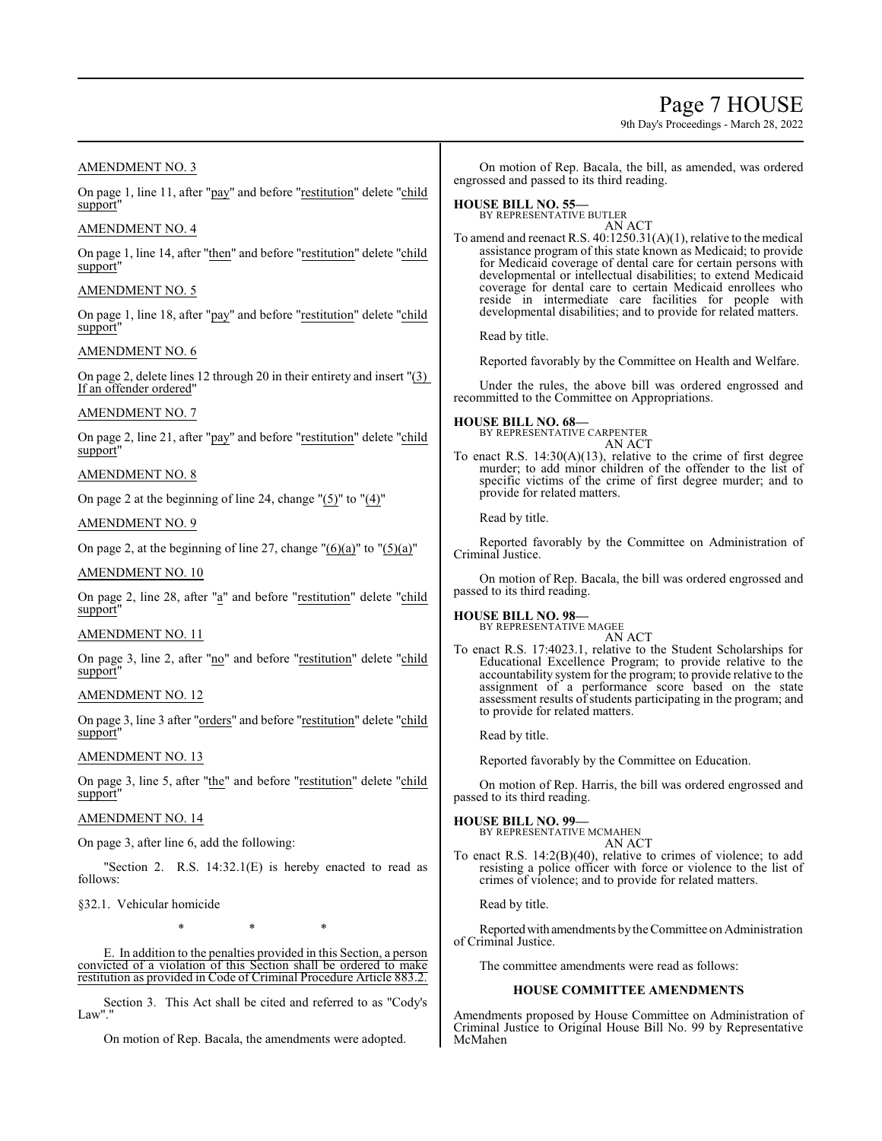Page 7 HOUSE

9th Day's Proceedings - March 28, 2022

## AMENDMENT NO. 3

On page 1, line 11, after "pay" and before "restitution" delete "child support"

## AMENDMENT NO. 4

On page 1, line 14, after "then" and before "restitution" delete "child support"

### AMENDMENT NO. 5

On page 1, line 18, after "pay" and before "restitution" delete "child support"

#### AMENDMENT NO. 6

On page 2, delete lines 12 through 20 in their entirety and insert "(3) If an offender ordered"

## AMENDMENT NO. 7

On page 2, line 21, after "pay" and before "restitution" delete "child support"

## AMENDMENT NO. 8

On page 2 at the beginning of line 24, change " $(5)$ " to " $(4)$ "

### AMENDMENT NO. 9

On page 2, at the beginning of line 27, change " $(6)(a)$ " to " $(5)(a)$ "

#### AMENDMENT NO. 10

On page 2, line 28, after "a" and before "restitution" delete "child support"

## AMENDMENT NO. 11

On page 3, line 2, after "no" and before "restitution" delete "child support"

## AMENDMENT NO. 12

On page 3, line 3 after "orders" and before "restitution" delete "child support"

## AMENDMENT NO. 13

On page 3, line 5, after "the" and before "restitution" delete "child support"

### AMENDMENT NO. 14

On page 3, after line 6, add the following:

"Section 2. R.S. 14:32.1(E) is hereby enacted to read as follows:

§32.1. Vehicular homicide

\* \* \*

E. In addition to the penalties provided in this Section, a person convicted of a violation of this Section shall be ordered to make restitution as provided in Code of Criminal Procedure Article 883.2.

Section 3. This Act shall be cited and referred to as "Cody's Law"."

On motion of Rep. Bacala, the amendments were adopted.

On motion of Rep. Bacala, the bill, as amended, was ordered engrossed and passed to its third reading.

#### **HOUSE BILL NO. 55—** BY REPRESENTATIVE BUTLER

AN ACT

To amend and reenact R.S. 40:1250.31(A)(1), relative to the medical assistance program of this state known as Medicaid; to provide for Medicaid coverage of dental care for certain persons with developmental or intellectual disabilities; to extend Medicaid coverage for dental care to certain Medicaid enrollees who reside in intermediate care facilities for people with developmental disabilities; and to provide for related matters.

Read by title.

Reported favorably by the Committee on Health and Welfare.

Under the rules, the above bill was ordered engrossed and recommitted to the Committee on Appropriations.

#### **HOUSE BILL NO. 68—** BY REPRESENTATIVE CARPENTER AN ACT

To enact R.S. 14:30(A)(13), relative to the crime of first degree murder; to add minor children of the offender to the list of specific victims of the crime of first degree murder; and to provide for related matters.

Read by title.

Reported favorably by the Committee on Administration of Criminal Justice.

On motion of Rep. Bacala, the bill was ordered engrossed and passed to its third reading.

## **HOUSE BILL NO. 98—**

BY REPRESENTATIVE MAGEE AN ACT

To enact R.S. 17:4023.1, relative to the Student Scholarships for Educational Excellence Program; to provide relative to the accountability system for the program; to provide relative to the assignment of a performance score based on the state assessment results of students participating in the program; and to provide for related matters.

Read by title.

Reported favorably by the Committee on Education.

On motion of Rep. Harris, the bill was ordered engrossed and passed to its third reading.

**HOUSE BILL NO. 99—** BY REPRESENTATIVE MCMAHEN AN ACT

To enact R.S. 14:2(B)(40), relative to crimes of violence; to add resisting a police officer with force or violence to the list of crimes of violence; and to provide for related matters.

Read by title.

Reportedwith amendments bythe Committee on Administration of Criminal Justice.

The committee amendments were read as follows:

#### **HOUSE COMMITTEE AMENDMENTS**

Amendments proposed by House Committee on Administration of Criminal Justice to Original House Bill No. 99 by Representative McMahen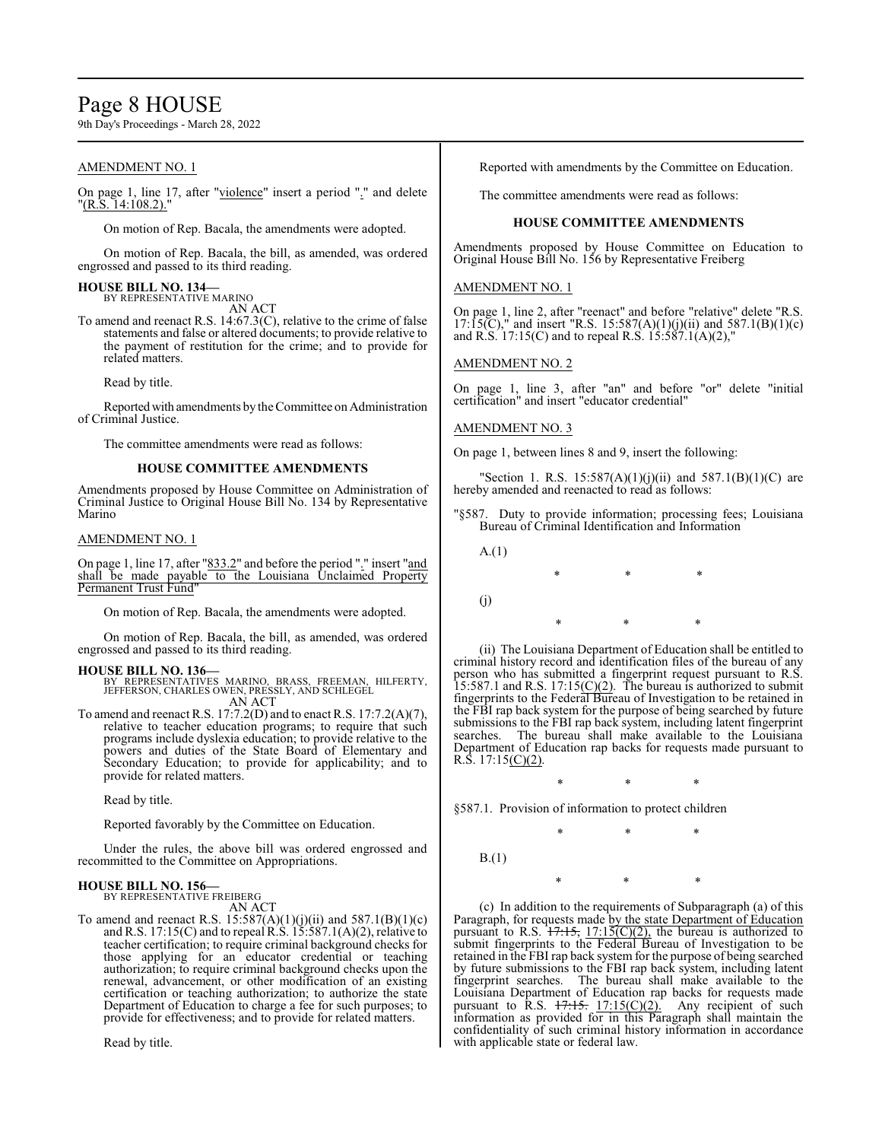## Page 8 HOUSE

9th Day's Proceedings - March 28, 2022

## AMENDMENT NO. 1

On page 1, line 17, after "violence" insert a period "." and delete "(R.S. 14:108.2)."

On motion of Rep. Bacala, the amendments were adopted.

On motion of Rep. Bacala, the bill, as amended, was ordered engrossed and passed to its third reading.

#### **HOUSE BILL NO. 134—**

BY REPRESENTATIVE MARINO AN ACT

To amend and reenact R.S. 14:67.3(C), relative to the crime of false statements and false or altered documents; to provide relative to the payment of restitution for the crime; and to provide for related matters.

Read by title.

Reported with amendments by the Committee on Administration of Criminal Justice.

The committee amendments were read as follows:

#### **HOUSE COMMITTEE AMENDMENTS**

Amendments proposed by House Committee on Administration of Criminal Justice to Original House Bill No. 134 by Representative Marino

#### AMENDMENT NO. 1

On page 1, line 17, after "833.2" and before the period "." insert "and shall be made payable to the Louisiana Unclaimed Property Permanent Trust Fund"

On motion of Rep. Bacala, the amendments were adopted.

On motion of Rep. Bacala, the bill, as amended, was ordered engrossed and passed to its third reading.

- **HOUSE BILL NO. 136—** BY REPRESENTATIVES MARINO, BRASS, FREEMAN, HILFERTY, JEFFERSON, CHARLES OWEN, PRESSLY, AND SCHLEGEL AN ACT
- To amend and reenact R.S. 17:7.2(D) and to enact R.S. 17:7.2(A)(7), relative to teacher education programs; to require that such programs include dyslexia education; to provide relative to the powers and duties of the State Board of Elementary and Secondary Education; to provide for applicability; and to provide for related matters.

Read by title.

Reported favorably by the Committee on Education.

Under the rules, the above bill was ordered engrossed and recommitted to the Committee on Appropriations.

#### **HOUSE BILL NO. 156—**

BY REPRESENTATIVE FREIBERG AN ACT

To amend and reenact R.S.  $15:587(A)(1)(j)(ii)$  and  $587.1(B)(1)(c)$ and R.S. 17:15(C) and to repeal R.S. 15:587.1(A)(2), relative to teacher certification; to require criminal background checks for those applying for an educator credential or teaching authorization; to require criminal background checks upon the renewal, advancement, or other modification of an existing certification or teaching authorization; to authorize the state Department of Education to charge a fee for such purposes; to provide for effectiveness; and to provide for related matters.

Read by title.

Reported with amendments by the Committee on Education.

The committee amendments were read as follows:

#### **HOUSE COMMITTEE AMENDMENTS**

Amendments proposed by House Committee on Education to Original House Bill No. 156 by Representative Freiberg

#### AMENDMENT NO. 1

On page 1, line 2, after "reenact" and before "relative" delete "R.S. 17:15(C)," and insert "R.S. 15:587(A)(1)(j)(ii) and 587.1(B)(1)(c) and R.S. 17:15(C) and to repeal R.S. 15:587.1(A)(2),"

#### AMENDMENT NO. 2

On page 1, line 3, after "an" and before "or" delete "initial certification" and insert "educator credential"

#### AMENDMENT NO. 3

On page 1, between lines 8 and 9, insert the following:

"Section 1. R.S.  $15:587(A)(1)(j)(ii)$  and  $587.1(B)(1)(C)$  are hereby amended and reenacted to read as follows:

- "§587. Duty to provide information; processing fees; Louisiana Bureau of Criminal Identification and Information
	- A.(1)

\* \* \* (j) \* \* \*

(ii) The Louisiana Department of Education shall be entitled to criminal history record and identification files of the bureau of any person who has submitted a fingerprint request pursuant to R.S. 15:587.1 and R.S. 17:15 $(C)(2)$ . The bureau is authorized to submit fingerprints to the Federal Bureau of Investigation to be retained in the FBI rap back system for the purpose of being searched by future submissions to the FBI rap back system, including latent fingerprint searches. The bureau shall make available to the Louisiana Department of Education rap backs for requests made pursuant to R.S.  $17:15(C)(2)$ .

\* \* \*

\* \* \*

§587.1. Provision of information to protect children

B.(1)

\* \* \*

(c) In addition to the requirements of Subparagraph (a) of this Paragraph, for requests made by the state Department of Education pursuant to R.S.  $\frac{17.15}{17.15}$ ,  $\frac{17.15}{C(2)}$ , the bureau is authorized to submit fingerprints to the Federal Bureau of Investigation to be retained in the FBI rap back system for the purpose of being searched by future submissions to the FBI rap back system, including latent fingerprint searches. The bureau shall make available to the Louisiana Department of Education rap backs for requests made pursuant to R.S.  $17:15C(2)$ . Any recipient of such information as provided for in this Paragraph shall maintain the confidentiality of such criminal history information in accordance with applicable state or federal law.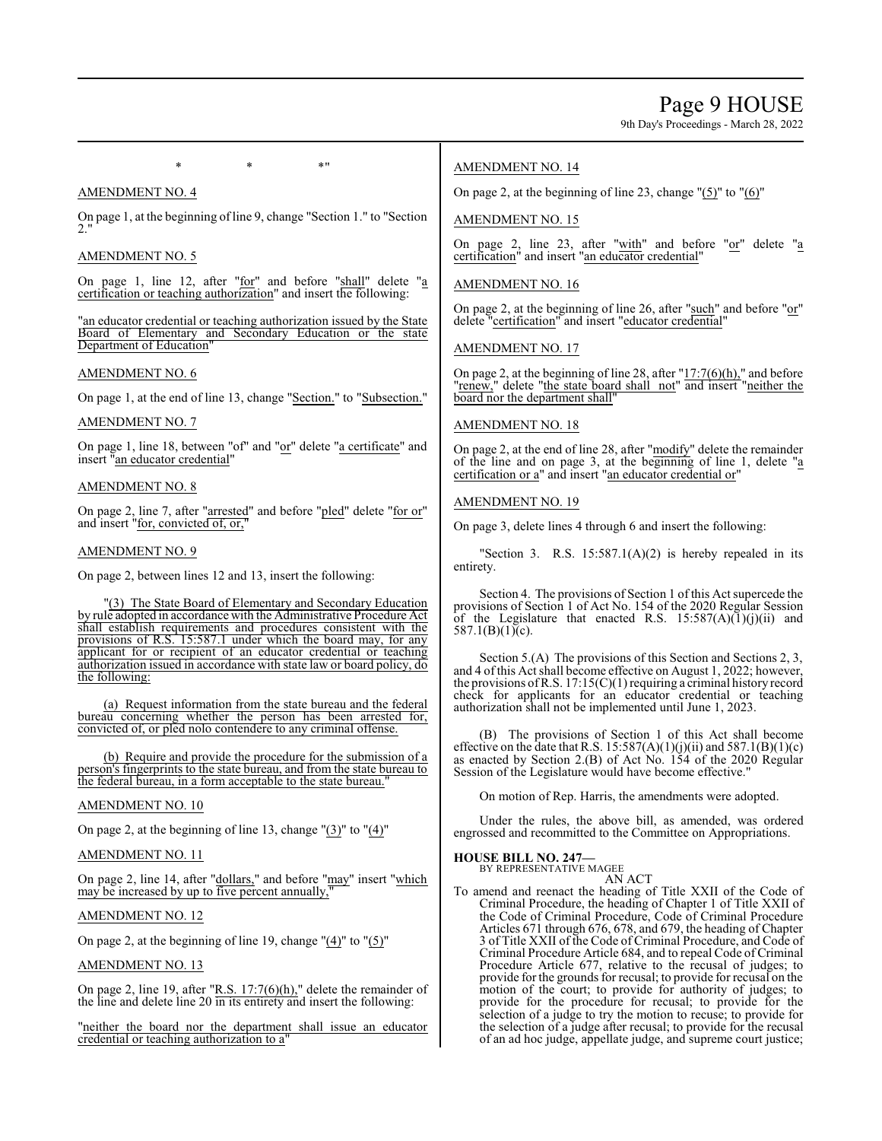9th Day's Proceedings - March 28, 2022

AMENDMENT NO. 4

On page 1, at the beginning of line 9, change "Section 1." to "Section  $2.$ "

 $*$  \*  $*$  \*

## AMENDMENT NO. 5

On page 1, line 12, after "for" and before "shall" delete "a certification or teaching authorization" and insert the following:

"an educator credential or teaching authorization issued by the State Board of Elementary and Secondary Education or the state Department of Education"

## AMENDMENT NO. 6

On page 1, at the end of line 13, change "Section." to "Subsection."

## AMENDMENT NO. 7

On page 1, line 18, between "of" and "or" delete "a certificate" and insert "an educator credential"

## AMENDMENT NO. 8

On page 2, line 7, after "arrested" and before "pled" delete "for or" and insert "for, convicted of, or,"

## AMENDMENT NO. 9

On page 2, between lines 12 and 13, insert the following:

"(3) The State Board of Elementary and Secondary Education by rule adopted in accordance with the Administrative Procedure Act shall establish requirements and procedures consistent with the provisions of R.S. 15:587.1 under which the board may, for any applicant for or recipient of an educator credential or teaching authorization issued in accordance with state law or board policy, do the following:

(a) Request information from the state bureau and the federal bureau concerning whether the person has been arrested for, convicted of, or pled nolo contendere to any criminal offense.

(b) Require and provide the procedure for the submission of a person's fingerprints to the state bureau, and from the state bureau to the federal bureau, in a form acceptable to the state bureau.

## AMENDMENT NO. 10

On page 2, at the beginning of line 13, change "(3)" to "(4)"

AMENDMENT NO. 11

On page 2, line 14, after "dollars," and before "may" insert "which may be increased by up to five percent annually,

## AMENDMENT NO. 12

On page 2, at the beginning of line 19, change  $"(4)"$  to  $"(5)"$ 

## AMENDMENT NO. 13

On page 2, line 19, after " $R.S. 17:7(6)(h)$ ," delete the remainder of the line and delete line 20 in its entirety and insert the following:

"neither the board nor the department shall issue an educator credential or teaching authorization to a"

## AMENDMENT NO. 14

On page 2, at the beginning of line 23, change  $\Gamma(5)$ " to  $\Gamma(6)$ "

## AMENDMENT NO. 15

On page 2, line 23, after "with" and before "or" delete "a certification" and insert "an educator credential"

## AMENDMENT NO. 16

On page 2, at the beginning of line 26, after "such" and before "or" delete "certification" and insert "educator credential"

## AMENDMENT NO. 17

On page 2, at the beginning of line 28, after  $17:7(6)(h)$ ," and before "renew," delete "the state board shall not" and insert "neither the board nor the department shall"

## AMENDMENT NO. 18

On page 2, at the end of line 28, after "modify" delete the remainder of the line and on page 3, at the beginning of line 1, delete  $a$ certification or a" and insert "an educator credential or"

## AMENDMENT NO. 19

On page 3, delete lines 4 through 6 and insert the following:

"Section 3. R.S.  $15:587.1(A)(2)$  is hereby repealed in its entirety.

Section 4. The provisions of Section 1 of this Act supercede the provisions of Section 1 of Act No. 154 of the 2020 Regular Session of the Legislature that enacted R.S.  $15:587(A)(1)(j)(ii)$  and 587.1(B)(1)(c).

Section 5.(A) The provisions of this Section and Sections 2, 3, and 4 of this Act shall become effective on August 1, 2022; however, the provisions of R.S.  $17:15(C)(1)$  requiring a criminal history record check for applicants for an educator credential or teaching authorization shall not be implemented until June 1, 2023.

(B) The provisions of Section 1 of this Act shall become effective on the date that R.S.  $15:587(A)(1)(j)(ii)$  and  $587.1(B)(1)(c)$ as enacted by Section 2.(B) of Act No. 154 of the 2020 Regular Session of the Legislature would have become effective."

On motion of Rep. Harris, the amendments were adopted.

Under the rules, the above bill, as amended, was ordered engrossed and recommitted to the Committee on Appropriations.

# **HOUSE BILL NO. 247—** BY REPRESENTATIVE MAGEE

AN ACT

To amend and reenact the heading of Title XXII of the Code of Criminal Procedure, the heading of Chapter 1 of Title XXII of the Code of Criminal Procedure, Code of Criminal Procedure Articles 671 through 676, 678, and 679, the heading of Chapter 3 of Title XXII of the Code of Criminal Procedure, and Code of Criminal Procedure Article 684, and to repeal Code of Criminal Procedure Article 677, relative to the recusal of judges; to provide for the grounds for recusal; to provide for recusal on the motion of the court; to provide for authority of judges; to provide for the procedure for recusal; to provide for the selection of a judge to try the motion to recuse; to provide for the selection of a judge after recusal; to provide for the recusal of an ad hoc judge, appellate judge, and supreme court justice;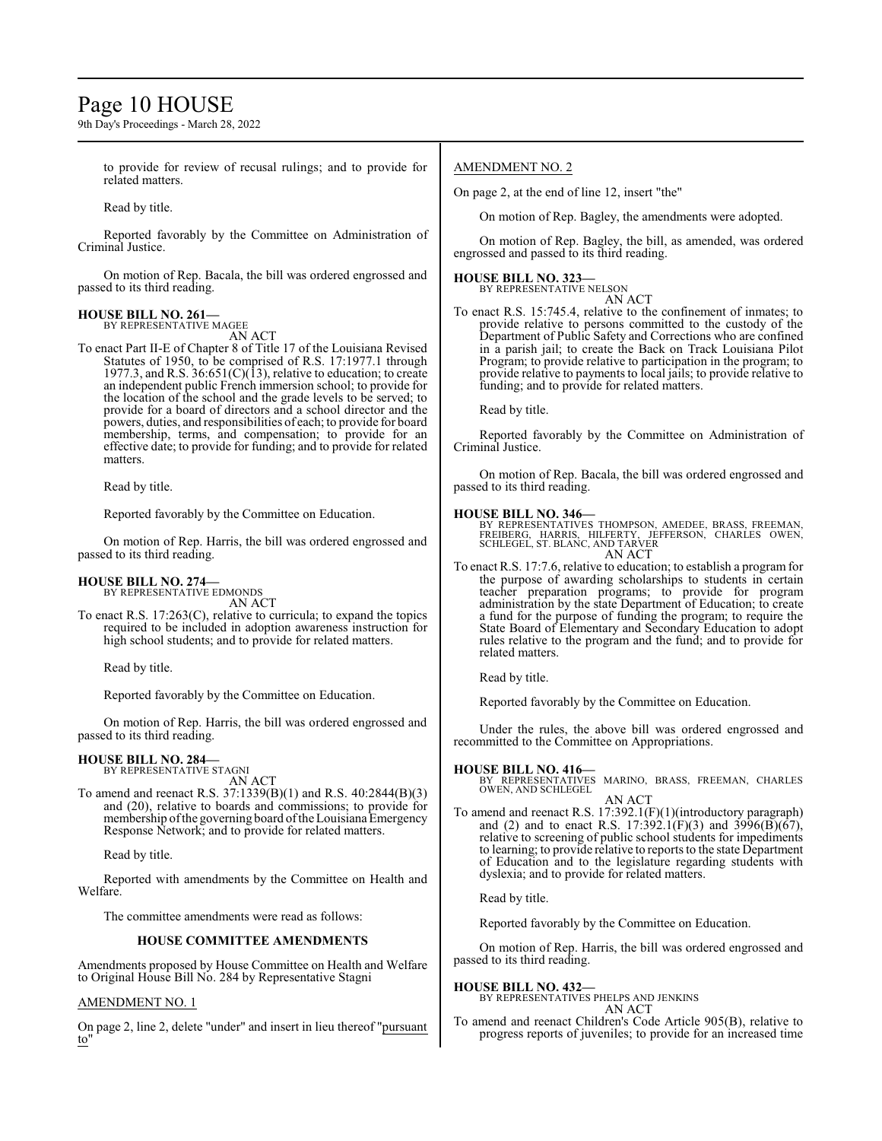## Page 10 HOUSE

9th Day's Proceedings - March 28, 2022

to provide for review of recusal rulings; and to provide for related matters.

Read by title.

Reported favorably by the Committee on Administration of Criminal Justice.

On motion of Rep. Bacala, the bill was ordered engrossed and passed to its third reading.

#### **HOUSE BILL NO. 261—** BY REPRESENTATIVE MAGEE

AN ACT

To enact Part II-E of Chapter 8 of Title 17 of the Louisiana Revised Statutes of 1950, to be comprised of R.S. 17:1977.1 through 1977.3, and R.S.  $36:651(C)(13)$ , relative to education; to create an independent public French immersion school; to provide for the location of the school and the grade levels to be served; to provide for a board of directors and a school director and the powers, duties, and responsibilities of each; to provide for board membership, terms, and compensation; to provide for an effective date; to provide for funding; and to provide for related matters.

Read by title.

Reported favorably by the Committee on Education.

On motion of Rep. Harris, the bill was ordered engrossed and passed to its third reading.

## **HOUSE BILL NO. 274—**

BY REPRESENTATIVE EDMONDS AN ACT

To enact R.S. 17:263(C), relative to curricula; to expand the topics required to be included in adoption awareness instruction for high school students; and to provide for related matters.

Read by title.

Reported favorably by the Committee on Education.

On motion of Rep. Harris, the bill was ordered engrossed and passed to its third reading.

#### **HOUSE BILL NO. 284—** BY REPRESENTATIVE STAGNI

AN ACT

To amend and reenact R.S. 37:1339(B)(1) and R.S. 40:2844(B)(3) and (20), relative to boards and commissions; to provide for membership of the governing board of the Louisiana Emergency Response Network; and to provide for related matters.

Read by title.

Reported with amendments by the Committee on Health and Welfare.

The committee amendments were read as follows:

## **HOUSE COMMITTEE AMENDMENTS**

Amendments proposed by House Committee on Health and Welfare to Original House Bill No. 284 by Representative Stagni

## AMENDMENT NO. 1

On page 2, line 2, delete "under" and insert in lieu thereof "pursuant to"

## AMENDMENT NO. 2

On page 2, at the end of line 12, insert "the"

On motion of Rep. Bagley, the amendments were adopted.

On motion of Rep. Bagley, the bill, as amended, was ordered engrossed and passed to its third reading.

## **HOUSE BILL NO. 323—**

BY REPRESENTATIVE NELSON AN ACT

To enact R.S. 15:745.4, relative to the confinement of inmates; to provide relative to persons committed to the custody of the Department of Public Safety and Corrections who are confined in a parish jail; to create the Back on Track Louisiana Pilot Program; to provide relative to participation in the program; to provide relative to payments to local jails; to provide relative to funding; and to provide for related matters.

Read by title.

Reported favorably by the Committee on Administration of Criminal Justice.

On motion of Rep. Bacala, the bill was ordered engrossed and passed to its third reading.

#### **HOUSE BILL NO. 346—**

BY REPRESENTATIVES THOMPSON, AMEDEE, BRASS, FREEMAN,<br>FREIBERG, HARRIS, HILFERTY, JEFFERSON, CHARLES OWEN,<br>SCHLEGEL, ST. BLANC, AND TARVER AN ACT

To enact R.S. 17:7.6, relative to education; to establish a program for the purpose of awarding scholarships to students in certain teacher preparation programs; to provide for program administration by the state Department of Education; to create a fund for the purpose of funding the program; to require the State Board of Elementary and Secondary Education to adopt rules relative to the program and the fund; and to provide for related matters.

Read by title.

Reported favorably by the Committee on Education.

Under the rules, the above bill was ordered engrossed and recommitted to the Committee on Appropriations.

**HOUSE BILL NO. 416—** BY REPRESENTATIVES MARINO, BRASS, FREEMAN, CHARLES OWEN, AND SCHLEGEL

AN ACT To amend and reenact R.S. 17:392.1(F)(1)(introductory paragraph) and (2) and to enact R.S. 17:392.1(F)(3) and  $3996(B)(67)$ , relative to screening of public school students for impediments to learning; to provide relative to reports to the state Department of Education and to the legislature regarding students with dyslexia; and to provide for related matters.

Read by title.

Reported favorably by the Committee on Education.

On motion of Rep. Harris, the bill was ordered engrossed and passed to its third reading.

## **HOUSE BILL NO. 432—**

BY REPRESENTATIVES PHELPS AND JENKINS AN ACT

To amend and reenact Children's Code Article 905(B), relative to progress reports of juveniles; to provide for an increased time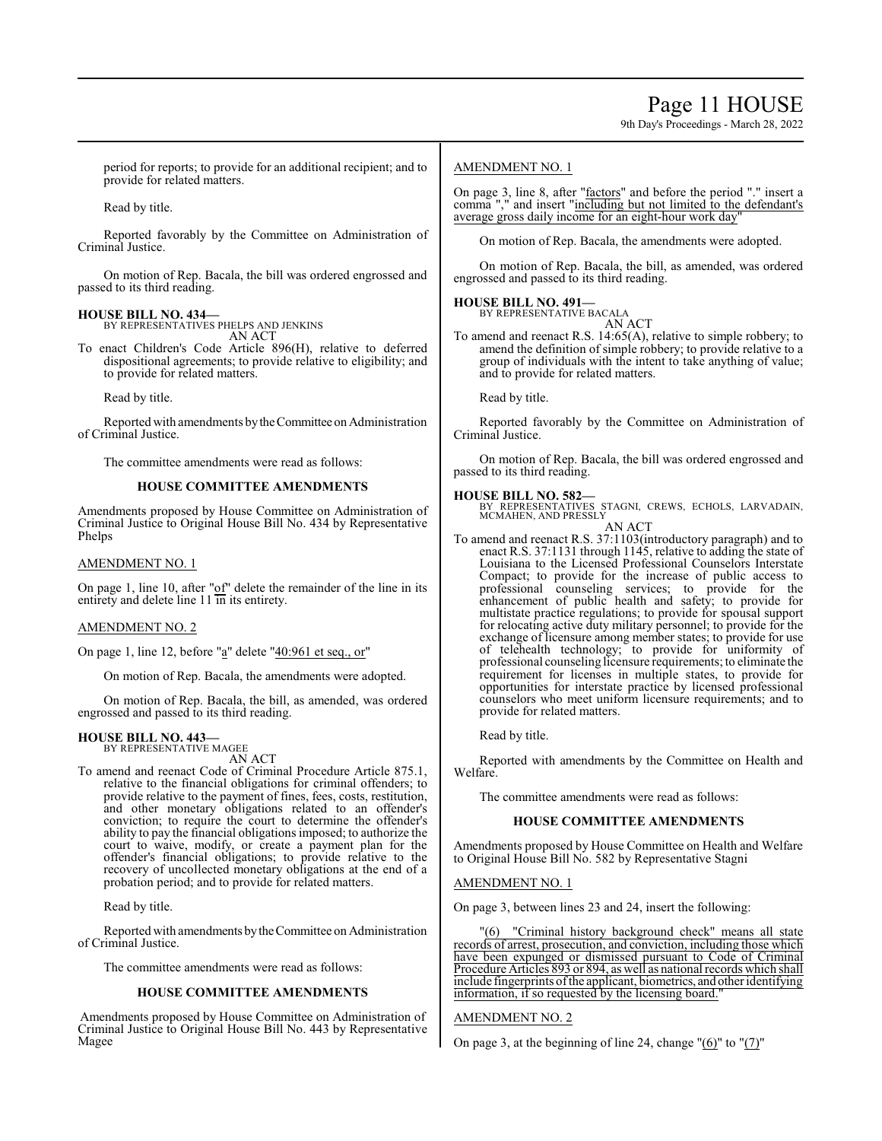9th Day's Proceedings - March 28, 2022

period for reports; to provide for an additional recipient; and to provide for related matters.

Read by title.

Reported favorably by the Committee on Administration of Criminal Justice.

On motion of Rep. Bacala, the bill was ordered engrossed and passed to its third reading.

#### **HOUSE BILL NO. 434—**

BY REPRESENTATIVES PHELPS AND JENKINS AN ACT

To enact Children's Code Article 896(H), relative to deferred dispositional agreements; to provide relative to eligibility; and to provide for related matters.

Read by title.

Reported with amendments by the Committee on Administration of Criminal Justice.

The committee amendments were read as follows:

#### **HOUSE COMMITTEE AMENDMENTS**

Amendments proposed by House Committee on Administration of Criminal Justice to Original House Bill No. 434 by Representative Phelps

#### AMENDMENT NO. 1

On page 1, line 10, after " $of$ " delete the remainder of the line in its entirety and delete line 11 in its entirety.

#### AMENDMENT NO. 2

On page 1, line 12, before "a" delete "40:961 et seq., or"

On motion of Rep. Bacala, the amendments were adopted.

On motion of Rep. Bacala, the bill, as amended, was ordered engrossed and passed to its third reading.

## **HOUSE BILL NO. 443—**

BY REPRESENTATIVE MAGEE AN ACT

To amend and reenact Code of Criminal Procedure Article 875.1, relative to the financial obligations for criminal offenders; to provide relative to the payment of fines, fees, costs, restitution, and other monetary obligations related to an offender's conviction; to require the court to determine the offender's ability to pay the financial obligations imposed; to authorize the court to waive, modify, or create a payment plan for the offender's financial obligations; to provide relative to the recovery of uncollected monetary obligations at the end of a probation period; and to provide for related matters.

Read by title.

Reported with amendments bytheCommittee on Administration of Criminal Justice.

The committee amendments were read as follows:

#### **HOUSE COMMITTEE AMENDMENTS**

Amendments proposed by House Committee on Administration of Criminal Justice to Original House Bill No. 443 by Representative Magee

### AMENDMENT NO. 1

On page 3, line 8, after "factors" and before the period "." insert a comma "," and insert "including but not limited to the defendant's average gross daily income for an eight-hour work day"

On motion of Rep. Bacala, the amendments were adopted.

On motion of Rep. Bacala, the bill, as amended, was ordered engrossed and passed to its third reading.

#### **HOUSE BILL NO. 491—** BY REPRESENTATIVE BACALA

AN ACT

To amend and reenact R.S. 14:65(A), relative to simple robbery; to amend the definition of simple robbery; to provide relative to a group of individuals with the intent to take anything of value; and to provide for related matters.

Read by title.

Reported favorably by the Committee on Administration of Criminal Justice.

On motion of Rep. Bacala, the bill was ordered engrossed and passed to its third reading.

**HOUSE BILL NO. 582—** BY REPRESENTATIVES STAGNI, CREWS, ECHOLS, LARVADAIN, MCMAHEN, AND PRESSLY

AN ACT

To amend and reenact R.S. 37:1103(introductory paragraph) and to enact R.S. 37:1131 through 1145, relative to adding the state of Louisiana to the Licensed Professional Counselors Interstate Compact; to provide for the increase of public access to professional counseling services; to provide for the enhancement of public health and safety; to provide for multistate practice regulations; to provide for spousal support for relocating active duty military personnel; to provide for the exchange of licensure among member states; to provide for use of telehealth technology; to provide for uniformity of professional counseling licensure requirements; to eliminate the requirement for licenses in multiple states, to provide for opportunities for interstate practice by licensed professional counselors who meet uniform licensure requirements; and to provide for related matters.

Read by title.

Reported with amendments by the Committee on Health and Welfare.

The committee amendments were read as follows:

#### **HOUSE COMMITTEE AMENDMENTS**

Amendments proposed by House Committee on Health and Welfare to Original House Bill No. 582 by Representative Stagni

#### AMENDMENT NO. 1

On page 3, between lines 23 and 24, insert the following:

"(6) "Criminal history background check" means all state records of arrest, prosecution, and conviction, including those which have been expunged or dismissed pursuant to Code of Criminal Procedure Articles 893 or 894, as well as national records which shall include fingerprints ofthe applicant, biometrics, and other identifying information, if so requested by the licensing board."

#### AMENDMENT NO. 2

On page 3, at the beginning of line 24, change "(6)" to "(7)"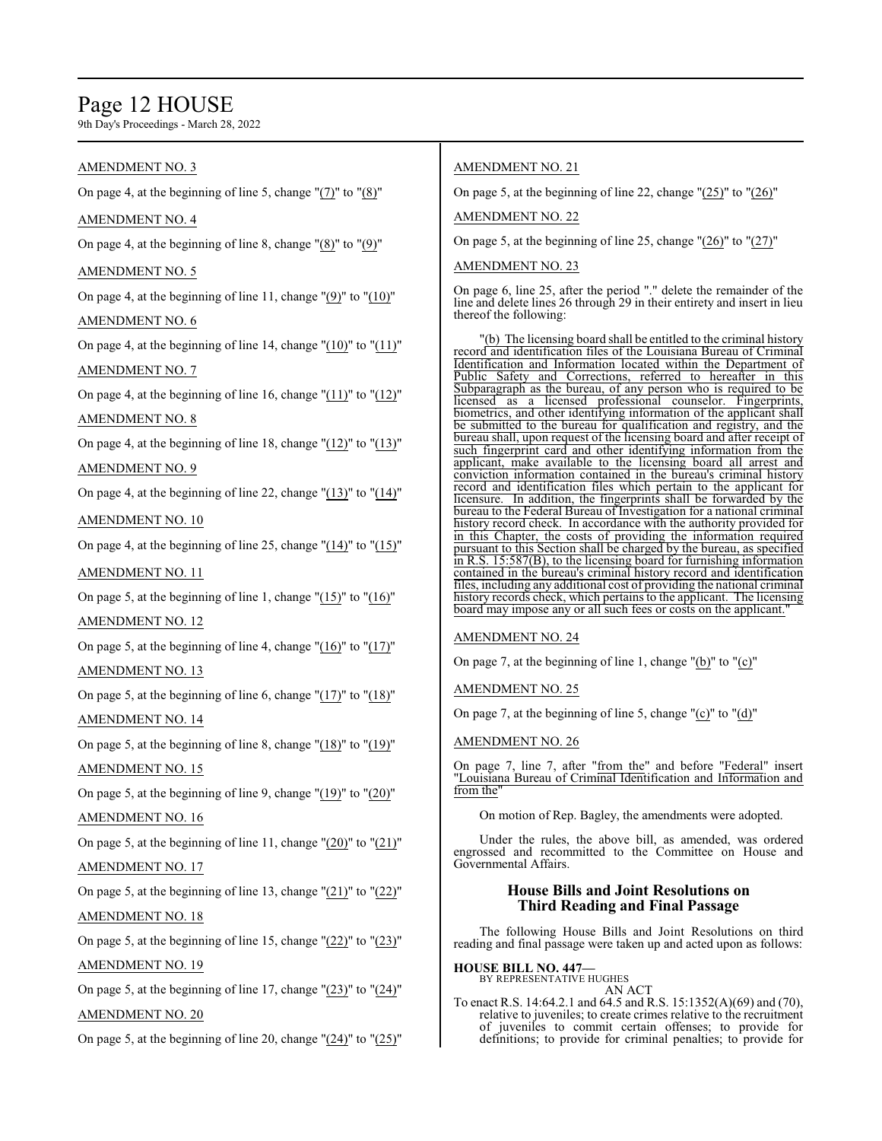## Page 12 HOUSE

9th Day's Proceedings - March 28, 2022

## AMENDMENT NO. 3

On page 4, at the beginning of line 5, change "(7)" to "(8)"

## AMENDMENT NO. 4

On page 4, at the beginning of line 8, change "(8)" to "(9)"

## AMENDMENT NO. 5

On page 4, at the beginning of line 11, change "(9)" to "(10)"

## AMENDMENT NO. 6

On page 4, at the beginning of line 14, change  $"(10)"$  to  $"(11)"$ AMENDMENT NO. 7

On page 4, at the beginning of line 16, change "(11)" to "(12)"

## AMENDMENT NO. 8

On page 4, at the beginning of line 18, change " $(12)$ " to " $(13)$ " AMENDMENT NO. 9

On page 4, at the beginning of line 22, change " $(13)$ " to " $(14)$ "

## AMENDMENT NO. 10

On page 4, at the beginning of line 25, change "(14)" to "(15)"

## AMENDMENT NO. 11

On page 5, at the beginning of line 1, change " $(15)$ " to " $(16)$ "

## AMENDMENT NO. 12

On page 5, at the beginning of line 4, change "(16)" to "(17)"

## AMENDMENT NO. 13

On page 5, at the beginning of line 6, change "(17)" to "(18)" AMENDMENT NO. 14

On page 5, at the beginning of line 8, change "(18)" to "(19)"

## AMENDMENT NO. 15

On page 5, at the beginning of line 9, change "(19)" to "(20)"

## AMENDMENT NO. 16

On page 5, at the beginning of line 11, change " $(20)$ " to " $(21)$ "

## AMENDMENT NO. 17

On page 5, at the beginning of line 13, change "(21)" to "(22)"

## AMENDMENT NO. 18

On page 5, at the beginning of line 15, change " $(22)$ " to " $(23)$ " AMENDMENT NO. 19

On page 5, at the beginning of line 17, change "(23)" to "(24)"

## AMENDMENT NO. 20

On page 5, at the beginning of line 20, change "(24)" to "(25)"

## AMENDMENT NO. 21

On page 5, at the beginning of line 22, change  $"(\underline{25})"$  to  $"(\underline{26})"$ 

AMENDMENT NO. 22

On page 5, at the beginning of line 25, change "(26)" to "(27)"

## AMENDMENT NO. 23

On page 6, line 25, after the period "." delete the remainder of the line and delete lines 26 through 29 in their entirety and insert in lieu thereof the following:

"(b) The licensing board shall be entitled to the criminal history record and identification files of the Louisiana Bureau of Criminal Identification and Information located within the Department of Public Safety and Corrections, referred to hereafter in this Subparagraph as the bureau, of any person who is required to be licensed as a licensed professional counselor. Fingerprints, licensed as a licensed professional counselor. biometrics, and other identifying information of the applicant shall be submitted to the bureau for qualification and registry, and the bureau shall, upon request of the licensing board and after receipt of such fingerprint card and other identifying information from the applicant, make available to the licensing board all arrest and conviction information contained in the bureau's criminal history record and identification files which pertain to the applicant for licensure. In addition, the fingerprints shall be forwarded by the bureau to the Federal Bureau of Investigation for a national criminal history record check. In accordance with the authority provided for in this Chapter, the costs of providing the information required pursuant to this Section shall be charged by the bureau, as specified in R.S. 15:587(B), to the licensing board for furnishing information contained in the bureau's criminal history record and identification files, including any additional cost of providing the national criminal history records check, which pertains to the applicant. The licensing board may impose any or all such fees or costs on the applicant.

## AMENDMENT NO. 24

On page 7, at the beginning of line 1, change "(b)" to "(c)"

AMENDMENT NO. 25

On page 7, at the beginning of line 5, change  $(C)$ " to  $'(d)$ "

## AMENDMENT NO. 26

On page 7, line 7, after "from the" and before "Federal" insert "Louisiana Bureau of Criminal Identification and Information and from the"

On motion of Rep. Bagley, the amendments were adopted.

Under the rules, the above bill, as amended, was ordered engrossed and recommitted to the Committee on House and Governmental Affairs.

## **House Bills and Joint Resolutions on Third Reading and Final Passage**

The following House Bills and Joint Resolutions on third reading and final passage were taken up and acted upon as follows:

## **HOUSE BILL NO. 447—** BY REPRESENTATIVE HUGHES

AN ACT

To enact R.S. 14:64.2.1 and 64.5 and R.S. 15:1352(A)(69) and (70), relative to juveniles; to create crimes relative to the recruitment of juveniles to commit certain offenses; to provide for definitions; to provide for criminal penalties; to provide for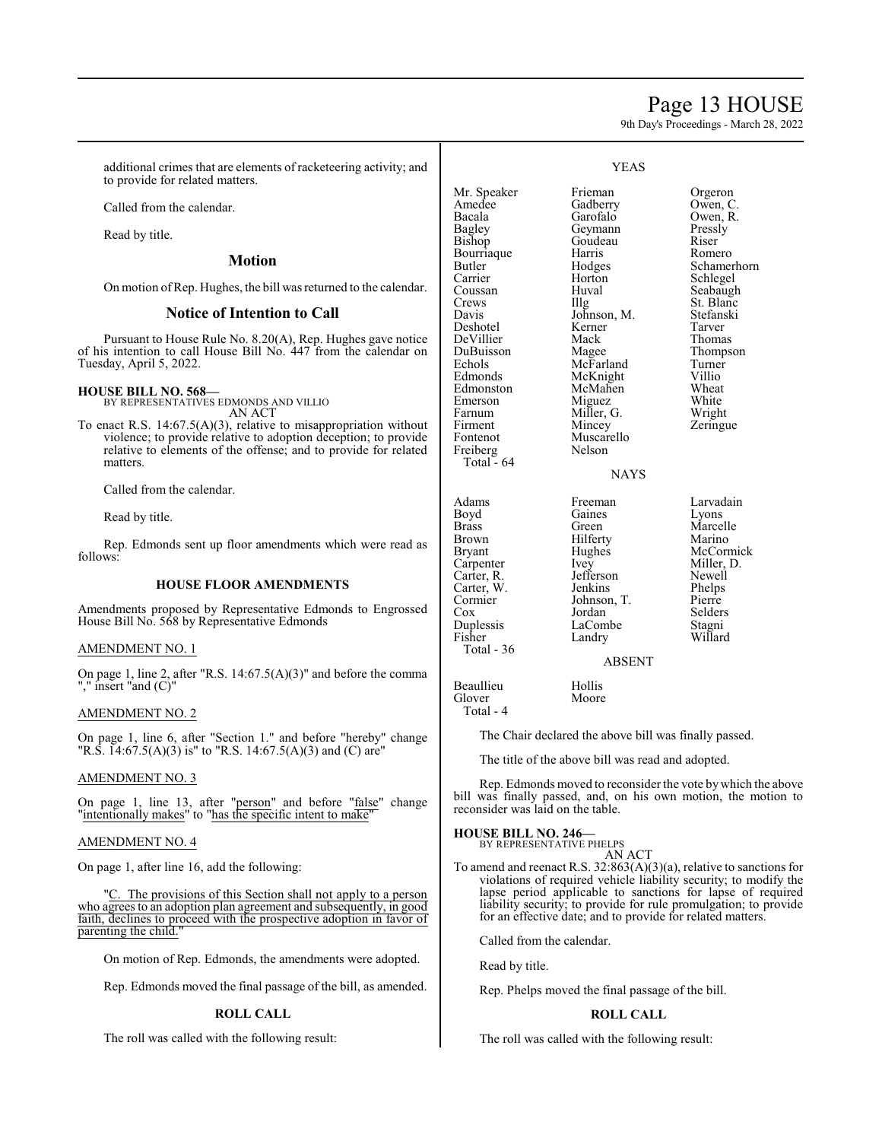## Page 13 HOUSE

9th Day's Proceedings - March 28, 2022

additional crimes that are elements of racketeering activity; and to provide for related matters.

Called from the calendar.

Read by title.

#### **Motion**

On motion ofRep. Hughes, the bill was returned to the calendar.

#### **Notice of Intention to Call**

Pursuant to House Rule No. 8.20(A), Rep. Hughes gave notice of his intention to call House Bill No. 447 from the calendar on Tuesday, April 5, 2022.

#### **HOUSE BILL NO. 568—**

BY REPRESENTATIVES EDMONDS AND VILLIO AN ACT

To enact R.S. 14:67.5(A)(3), relative to misappropriation without violence; to provide relative to adoption deception; to provide relative to elements of the offense; and to provide for related matters.

Called from the calendar.

Read by title.

Rep. Edmonds sent up floor amendments which were read as follows:

#### **HOUSE FLOOR AMENDMENTS**

Amendments proposed by Representative Edmonds to Engrossed House Bill No. 568 by Representative Edmonds

#### AMENDMENT NO. 1

On page 1, line 2, after "R.S. 14:67.5(A)(3)" and before the comma "," insert "and (C)"

#### AMENDMENT NO. 2

On page 1, line 6, after "Section 1." and before "hereby" change "R.S. 14:67.5(A)(3) is" to "R.S. 14:67.5(A)(3) and (C) are"

#### AMENDMENT NO. 3

On page 1, line 13, after "person" and before "false" change "intentionally makes" to "has the specific intent to make"

#### AMENDMENT NO. 4

On page 1, after line 16, add the following:

"C. The provisions of this Section shall not apply to a person who agrees to an adoption plan agreement and subsequently, in good faith, declines to proceed with the prospective adoption in favor of parenting the child."

On motion of Rep. Edmonds, the amendments were adopted.

Rep. Edmonds moved the final passage of the bill, as amended.

#### **ROLL CALL**

The roll was called with the following result:

#### YEAS

Mr. Speaker Frieman Orgeron<br>Amedee Gadberry Owen, C Amedee Gadberry<br>Bacala Garofalo Bacala Garofalo Owen, R.<br>Bagley Geymann Pressly Bagley Geymann<br>Bishop Goudeau Goudeau Riser<br>
Harris Romero Bourriaque Harris<br>Butler Hodges Butler Hodges Schamerhorn<br>Carrier Horton Schlegel Carrier Horton Schlegel<br>Coussan Huval Seabaugl Coussan Huval Seabaugh<br>Crews Illg St. Blanc Crews Illg St. Blanc<br>Davis Johnson, M. Stefanski Johnson, M. Stefans<br>Kerner Tarver Deshotel Kerner Tarver DuBuisson Magee Thompson Echols McFarland Turner<br>Edmonds McKnight Villio McKnight Villio<br>
McMahen Wheat Edmonston McMahen Wheat<br>
Emerson Miguez White Emerson Miguez White<br>
Farnum Miller, G. Wright Farnum Miller, G.<br>Firment Mincey Firment Mincey Zeringue<br>Fontenot Muscarello Muscarello<br>Nelson

DeVillier<br>DuBuisson

Freiberg Total - 64

Glover Total - 4 NAYS

Adams Freeman Larvadain<br>Boyd Gaines Lyons Boyd Gaines Lyons Brass Green Marcelle<br>Brown Hilferty Marino Brown Hilferty<br>Bryant Hughes Carpenter Ivey Miller,<br>Carter, R. Jefferson Newell Carter, R. Jefferson Newell<br>Carter, W. Jenkins Phelps Carter, W. Jenkins Phelps<br>Cormier Johnson, T. Pierre Cormier Johnson, T. Pierre Cox Jordan Selders<br>
Duplessis LaCombe Stagni Duplessis LaCombe Stagni Total - 36

Landry

Hughes McCormick<br>Ivey Miller, D.

#### ABSENT

Beaullieu Hollis<br>Glover Moore

The Chair declared the above bill was finally passed.

The title of the above bill was read and adopted.

Rep. Edmonds moved to reconsider the vote bywhich the above bill was finally passed, and, on his own motion, the motion to reconsider was laid on the table.

#### **HOUSE BILL NO. 246—**

BY REPRESENTATIVE PHELPS AN ACT

To amend and reenact R.S. 32:863(A)(3)(a), relative to sanctions for violations of required vehicle liability security; to modify the lapse period applicable to sanctions for lapse of required liability security; to provide for rule promulgation; to provide for an effective date; and to provide for related matters.

Called from the calendar.

Read by title.

Rep. Phelps moved the final passage of the bill.

#### **ROLL CALL**

The roll was called with the following result: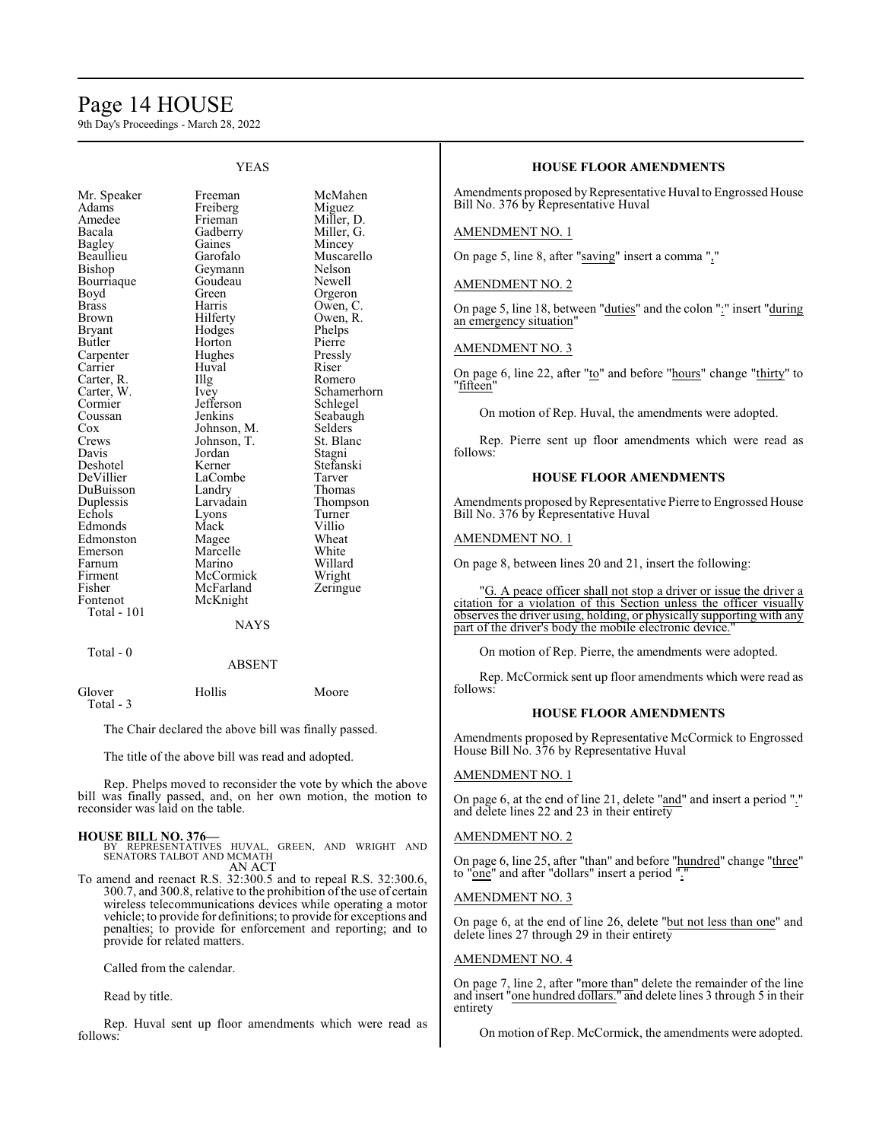## Page 14 HOUSE

9th Day's Proceedings - March 28, 2022

| Mr. Speaker   | Freeman     | McMa    |
|---------------|-------------|---------|
| Adams         | Freiberg    | Migue:  |
| Amedee        | Frieman     | Miller, |
| Bacala        | Gadberry    | Miller, |
| <b>Bagley</b> | Gaines      | Mince   |
| Beaullieu     | Garofalo    | Musca   |
| Bishop        | Geymann     | Nelson  |
| Bourriaque    | Goudeau     | Newell  |
| Boyd          | Green       | Orgero  |
| <b>Brass</b>  | Harris      | Owen,   |
| <b>Brown</b>  | Hilferty    | Owen,   |
| <b>Bryant</b> | Hodges      | Phelps  |
| Butler        | Horton      | Pierre  |
| Carpenter     | Hughes      | Pressly |
| Carrier       | Huval       | Riser   |
| Carter, R.    | Illg        | Romer   |
| Carter, W.    | Ivey        | Scham   |
| Cormier       | Jefferson   | Schleg  |
| Coussan       | Jenkins     | Seabat  |
| $\cos$        | Johnson, M. | Selder: |
| Crews         | Johnson, T. | St. Bla |
| Davis         | Jordan      | Stagni  |
| Deshotel      | Kerner      | Stefans |
| DeVillier     | LaCombe     | Tarver  |
| DuBuisson     | Landry      | Thoma   |
| Duplessis     | Larvadain   | Thomp   |
| Echols        | Lyons       | Turner  |
| Edmonds       | Mack        | Villio  |
| Edmonston     | Magee       | Wheat   |
| Emerson       | Marcelle    | White   |
| Farnum        | Marino      | Willar  |
| Firment       | McCormick   | Wright  |
| Fisher        | McFarland   | Zering  |
| Fontenot      | McKnight    |         |
| Total - 101   |             |         |

YEAS

Freeman McMahen<br>Freiberg Miguez Miller, D.<br>Miller, G. Gaines Mincey<br>Garofalo Muscare Muscarello<br>Nelson Geymann Nelson<br>Goudeau Newell Green Orgeron<br>Harris Owen, C Harris Owen, C.<br>Hilferty Owen, R. Owen, R.<br>Phelps Hodges Phelps<br>
Horton Pierre Horton Pierre<br>
Hughes Pressly Hughes Pressl<br>
Huval Riser The Romero<br>
Ivey Schamero<br>
Schamero Schamerhorn<br>Schlegel Seabaugh<br>Selders Johnson, M. Selders<br>Johnson, T. St. Blanc Johnson, T. St. Blanch<br>Jordan Stagni Stefanski<br>Tarver Landry Thomas<br>
Larvadain Thomps Larvadain Thompson<br>Lyons Turner Magee Wheat<br>
Marcelle White Marcelle White<br>
Marino Willard Marino Willard<br>
McCormick Wright McCormick Wright<br>
McFarland Zeringue

#### **NAYS**

Total - 0

#### ABSENT

Glover Hollis Moore Total - 3

The Chair declared the above bill was finally passed.

The title of the above bill was read and adopted.

Rep. Phelps moved to reconsider the vote by which the above bill was finally passed, and, on her own motion, the motion to reconsider was laid on the table.

#### **HOUSE BILL NO. 376—**

BY REPRESENTATIVES HUVAL, GREEN, AND WRIGHT AND SENATORS TALBOT AND MCMATH AN ACT

To amend and reenact R.S. 32:300.5 and to repeal R.S. 32:300.6, 300.7, and 300.8, relative to the prohibition of the use of certain wireless telecommunications devices while operating a motor vehicle; to provide for definitions; to provide for exceptions and penalties; to provide for enforcement and reporting; and to provide for related matters.

Called from the calendar.

Read by title.

Rep. Huval sent up floor amendments which were read as follows:

## **HOUSE FLOOR AMENDMENTS**

Amendments proposed by Representative Huval to Engrossed House Bill No. 376 by Representative Huval

#### AMENDMENT NO. 1

On page 5, line 8, after "saving" insert a comma ","

#### AMENDMENT NO. 2

On page 5, line 18, between "duties" and the colon ":" insert "during an emergency situation"

#### AMENDMENT NO. 3

On page 6, line 22, after "to" and before "hours" change "thirty" to "fifteen"

On motion of Rep. Huval, the amendments were adopted.

Rep. Pierre sent up floor amendments which were read as follows:

#### **HOUSE FLOOR AMENDMENTS**

Amendments proposed by Representative Pierre to Engrossed House Bill No. 376 by Representative Huval

#### AMENDMENT NO. 1

On page 8, between lines 20 and 21, insert the following:

G. A peace officer shall not stop a driver or issue the driver a citation for a violation of this Section unless the officer visually observes the driver using, holding, or physically supporting with any part of the driver's body the mobile electronic device."

On motion of Rep. Pierre, the amendments were adopted.

Rep. McCormick sent up floor amendments which were read as follows:

### **HOUSE FLOOR AMENDMENTS**

Amendments proposed by Representative McCormick to Engrossed House Bill No. 376 by Representative Huval

#### AMENDMENT NO. 1

On page 6, at the end of line 21, delete "and" and insert a period "." and delete lines 22 and 23 in their entirety

#### AMENDMENT NO. 2

On page 6, line 25, after "than" and before "hundred" change "three" to "one" and after "dollars" insert a period "."

#### AMENDMENT NO. 3

On page 6, at the end of line 26, delete "but not less than one" and delete lines 27 through 29 in their entirety

## AMENDMENT NO. 4

On page 7, line 2, after "more than" delete the remainder of the line and insert "one hundred dollars." and delete lines 3 through 5 in their entirety

On motion of Rep. McCormick, the amendments were adopted.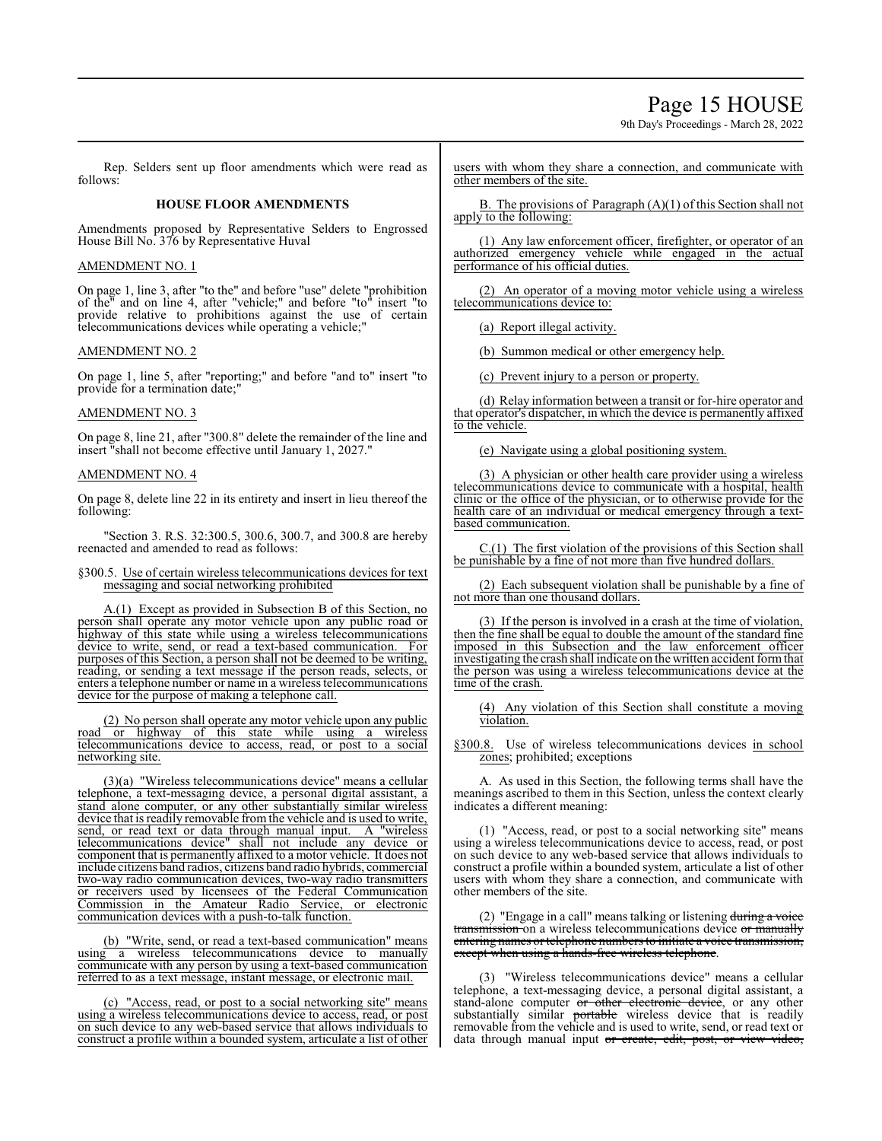## Page 15 HOUSE

9th Day's Proceedings - March 28, 2022

Rep. Selders sent up floor amendments which were read as follows:

#### **HOUSE FLOOR AMENDMENTS**

Amendments proposed by Representative Selders to Engrossed House Bill No. 376 by Representative Huval

#### AMENDMENT NO. 1

On page 1, line 3, after "to the" and before "use" delete "prohibition of the" and on line 4, after "vehicle;" and before "to" insert "to provide relative to prohibitions against the use of certain telecommunications devices while operating a vehicle;"

#### AMENDMENT NO. 2

On page 1, line 5, after "reporting;" and before "and to" insert "to provide for a termination date;"

## AMENDMENT NO. 3

On page 8, line 21, after "300.8" delete the remainder of the line and insert "shall not become effective until January 1, 2027."

#### AMENDMENT NO. 4

On page 8, delete line 22 in its entirety and insert in lieu thereof the following:

"Section 3. R.S. 32:300.5, 300.6, 300.7, and 300.8 are hereby reenacted and amended to read as follows:

#### §300.5. Use of certain wireless telecommunications devices for text messaging and social networking prohibited

A.(1) Except as provided in Subsection B of this Section, no person shall operate any motor vehicle upon any public road or highway of this state while using a wireless telecommunications device to write, send, or read a text-based communication. For purposes of this Section, a person shall not be deemed to be writing, reading, or sending a text message if the person reads, selects, or enters a telephone number or name in a wireless telecommunications device for the purpose of making a telephone call.

(2) No person shall operate any motor vehicle upon any public road or highway of this state while using a wireless telecommunications device to access, read, or post to a social networking site.

(3)(a) "Wireless telecommunications device" means a cellular telephone, a text-messaging device, a personal digital assistant, a stand alone computer, or any other substantially similar wireless device that is readily removable from the vehicle and is used to write, send, or read text or data through manual input. A "wireless telecommunications device" shall not include any device or component that is permanently affixed to a motor vehicle. It does not include citizens band radios, citizens band radio hybrids, commercial two-way radio communication devices, two-way radio transmitters or receivers used by licensees of the Federal Communication Commission in the Amateur Radio Service, or electronic communication devices with a push-to-talk function.

(b) "Write, send, or read a text-based communication" means using a wireless telecommunications device to manually communicate with any person by using a text-based communication referred to as a text message, instant message, or electronic mail.

(c) "Access, read, or post to a social networking site" means using a wireless telecommunications device to access, read, or post on such device to any web-based service that allows individuals to construct a profile within a bounded system, articulate a list of other users with whom they share a connection, and communicate with other members of the site.

B. The provisions of Paragraph (A)(1) of this Section shall not apply to the following:

(1) Any law enforcement officer, firefighter, or operator of an authorized emergency vehicle while engaged in the actual performance of his official duties.

(2) An operator of a moving motor vehicle using a wireless telecommunications device to:

(a) Report illegal activity.

(b) Summon medical or other emergency help.

(c) Prevent injury to a person or property.

(d) Relay information between a transit or for-hire operator and that operator's dispatcher, in which the device is permanently affixed to the vehicle.

(e) Navigate using a global positioning system.

(3) A physician or other health care provider using a wireless telecommunications device to communicate with a hospital, health clinic or the office of the physician, or to otherwise provide for the health care of an individual or medical emergency through a textbased communication.

C.(1) The first violation of the provisions of this Section shall be punishable by a fine of not more than five hundred dollars.

(2) Each subsequent violation shall be punishable by a fine of not more than one thousand dollars.

(3) If the person is involved in a crash at the time of violation, then the fine shall be equal to double the amount of the standard fine imposed in this Subsection and the law enforcement officer investigating the crash shall indicate on the written accident formthat the person was using a wireless telecommunications device at the time of the crash.

(4) Any violation of this Section shall constitute a moving violation.

§300.8. Use of wireless telecommunications devices in school zones; prohibited; exceptions

A. As used in this Section, the following terms shall have the meanings ascribed to them in this Section, unless the context clearly indicates a different meaning:

(1) "Access, read, or post to a social networking site" means using a wireless telecommunications device to access, read, or post on such device to any web-based service that allows individuals to construct a profile within a bounded system, articulate a list of other users with whom they share a connection, and communicate with other members of the site.

(2) "Engage in a call" means talking or listening during a voice transmission on a wireless telecommunications device or manually entering names or telephone numbers to initiate a voice transmission, except when using a hands-free wireless telephone.

(3) "Wireless telecommunications device" means a cellular telephone, a text-messaging device, a personal digital assistant, a stand-alone computer or other electronic device, or any other substantially similar portable wireless device that is readily removable from the vehicle and is used to write, send, or read text or data through manual input or create, edit, post, or view video,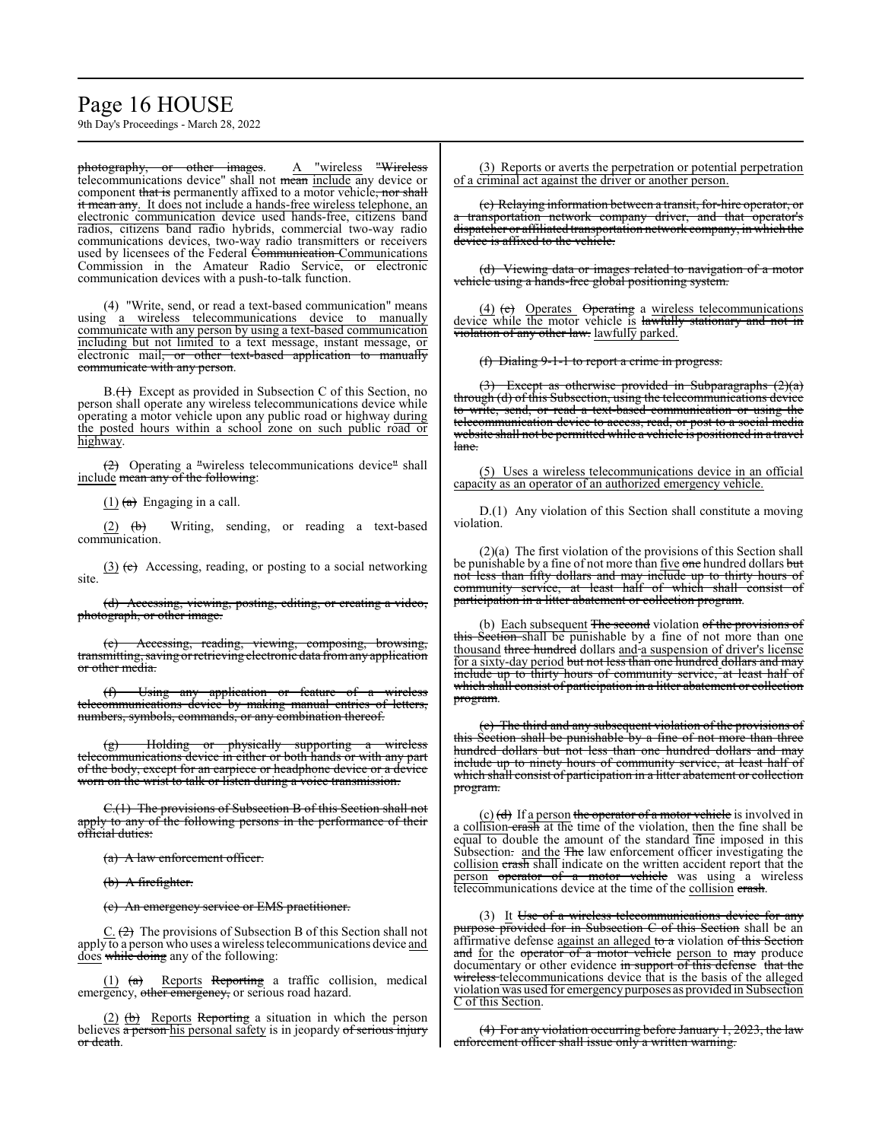## Page 16 HOUSE

9th Day's Proceedings - March 28, 2022

photography, or other images. A "wireless "Wireless telecommunications device" shall not mean include any device or component that is permanently affixed to a motor vehicle, nor shall it mean any. It does not include a hands-free wireless telephone, an electronic communication device used hands-free, citizens band radios, citizens band radio hybrids, commercial two-way radio communications devices, two-way radio transmitters or receivers used by licensees of the Federal Communication Communications Commission in the Amateur Radio Service, or electronic communication devices with a push-to-talk function.

(4) "Write, send, or read a text-based communication" means using a wireless telecommunications device to manually communicate with any person by using a text-based communication including but not limited to a text message, instant message, or electronic mail<del>, or other text-based application to manually</del> communicate with any person.

B.(<del>1)</del> Except as provided in Subsection C of this Section, no person shall operate any wireless telecommunications device while operating a motor vehicle upon any public road or highway during the posted hours within a school zone on such public road or highway.

 $\left(2\right)$  Operating a "wireless telecommunications device" shall include mean any of the following:

 $(1)$  (a) Engaging in a call.

 $(2)$   $(b)$  Writing, sending, or reading a text-based communication.

 $(3)$  (e) Accessing, reading, or posting to a social networking site.

(d) Accessing, viewing, posting, editing, or creating a video, photograph, or other image.

Accessing, reading, viewing, composing, browsing, transmitting, saving or retrieving electronic data fromany application or other media.

(f) Using any application or feature of a wireless telecommunications device by making manual entries of letters, numbers, symbols, commands, or any combination thereof.

(g) Holding or physically supporting a wireless telecommunications device in either or both hands or with any part of the body, except for an earpiece or headphone device or a device worn on the wrist to talk or listen during a voice transmission.

C.(1) The provisions of Subsection B of this Section shall not apply to any of the following persons in the performance of their official duties:

(a) A law enforcement officer.

(b) A firefighter.

(c) An emergency service or EMS practitioner.

 $C. (2)$  The provisions of Subsection B of this Section shall not apply to a person who uses a wireless telecommunications device and does while doing any of the following:

(1) (a) Reports Reporting a traffic collision, medical emergency, other emergency, or serious road hazard.

 $(2)$  (b) Reports Reporting a situation in which the person believes a person his personal safety is in jeopardy of serious injury or death.

(3) Reports or averts the perpetration or potential perpetration of a criminal act against the driver or another person.

(c) Relaying information between a transit, for-hire operator, or a transportation network company driver, and that operator's dispatcher or affiliated transportation network company, in which the device is affixed to the vehicle.

(d) Viewing data or images related to navigation of a motor vehicle using a hands-free global positioning system.

(4) (e) Operates Operating a wireless telecommunications device while the motor vehicle is lawfully stationary and not in violation of any other law. lawfully parked.

(f) Dialing 9-1-1 to report a crime in progress.

Except as otherwise provided in Subparagraphs  $(2)(a)$ through (d) of this Subsection, using the telecommunications device to write, send, or read a text-based communication or using the telecommunication device to access, read, or post to a social media website shall not be permitted while a vehicle is positioned in a travel lane.

(5) Uses a wireless telecommunications device in an official capacity as an operator of an authorized emergency vehicle.

D.(1) Any violation of this Section shall constitute a moving violation.

(2)(a) The first violation of the provisions of this Section shall be punishable by a fine of not more than five one hundred dollars but not less than fifty dollars and may include up to thirty hours of community service, at least half of which shall consist of participation in a litter abatement or collection program.

(b) Each subsequent The second violation of the provisions of this Section shall be punishable by a fine of not more than one thousand three hundred dollars and a suspension of driver's license for a sixty-day period <del>but not less than one hundred dollars and may</del> include up to thirty hours of community service, at least half of which shall consist of participation in a litter abatement or collection program.

(c) The third and any subsequent violation of the provisions of this Section shall be punishable by a fine of not more than three hundred dollars but not less than one hundred dollars and may include up to ninety hours of community service, at least half of which shall consist of participation in a litter abatement or collection program.

(c) (d) If a person the operator of a motor vehicle is involved in a collision crash at the time of the violation, then the fine shall be equal to double the amount of the standard fine imposed in this Subsection. and the The law enforcement officer investigating the collision crash shall indicate on the written accident report that the person operator of a motor vehicle was using a wireless telecommunications device at the time of the collision erash.

(3) It Use of a wireless telecommunications device for any provided for in Subsection C of this Section shall be an affirmative defense against an alleged to a violation of this Section and for the operator of a motor vehicle person to may produce documentary or other evidence in support of this defense that the wireless telecommunications device that is the basis of the alleged wireless telecommunications device that is the basis of the alleged violation was used for emergencypurposes as provided in Subsection C of this Section.

(4) For any violation occurring before January 1, 2023, the law enforcement officer shall issue only a written warning.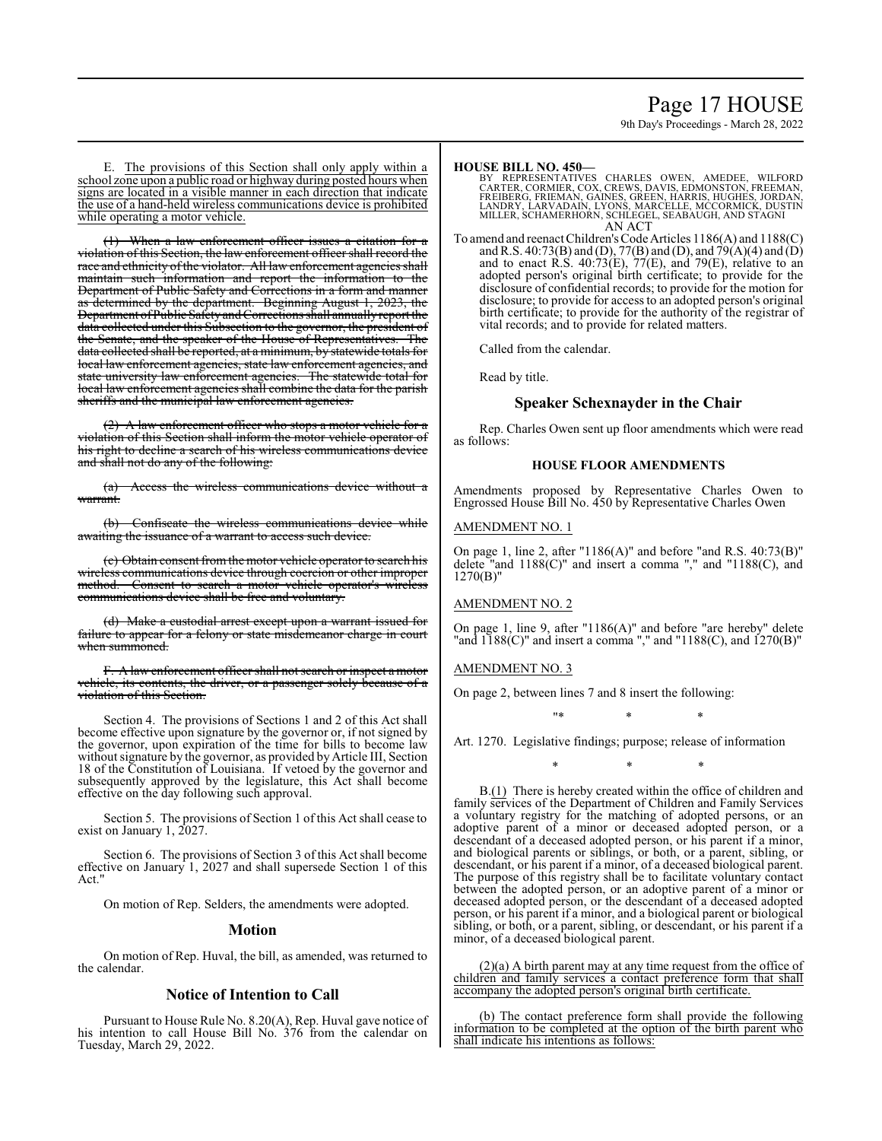## Page 17 HOUSE

9th Day's Proceedings - March 28, 2022

E. The provisions of this Section shall only apply within a school zone upon a public road or highway during posted hours when signs are located in a visible manner in each direction that indicate the use of a hand-held wireless communications device is prohibited while operating a motor vehicle.

(1) When a law enforcement officer issues a citation for a violation of this Section, the law enforcement officer shall record the race and ethnicity of the violator. All law enforcement agencies shall maintain such information and report the information to the Department of Public Safety and Corrections in a form and manner as determined by the department. Beginning August 1, 2023, the Department ofPublicSafetyandCorrections shall annually report the data collected under this Subsection to the governor, the president of the Senate and the speaker of the House of Representatives. The the Senate, and the speaker of the House of Representatives. data collected shall be reported, at a minimum, by statewide totals for local law enforcement agencies, state law enforcement agencies, and state university law enforcement agencies. The statewide total for local law enforcement agencies shall combine the data for the parish sheriffs and the municipal law enforcement agencies.

(2) A law enforcement officer who stops a motor vehicle for a violation of this Section shall inform the motor vehicle operator of his right to decline a search of his wireless communications device and shall not do any of the following:

(a) Access the wireless communications device without a warrant.

Confiscate the wireless communications device while awaiting the issuance of a warrant to access such device.

(c) Obtain consent fromthe motor vehicle operator to search his wireless communications device through coercion or other improper method. Consent to search a motor vehicle operator's wireless communications device shall be free and voluntary.

(d) Make a custodial arrest except upon a warrant issued for failure to appear for a felony or state misdemeanor charge in court when summoned.

. A law enforcement officer shall not search or inspect a motor vehicle, its contents, the driver, or a passenger solely because of a violation of this Section.

Section 4. The provisions of Sections 1 and 2 of this Act shall become effective upon signature by the governor or, if not signed by the governor, upon expiration of the time for bills to become law without signature by the governor, as provided by Article III, Section 18 of the Constitution of Louisiana. If vetoed by the governor and subsequently approved by the legislature, this Act shall become effective on the day following such approval.

Section 5. The provisions of Section 1 of this Act shall cease to exist on January 1, 2027.

Section 6. The provisions of Section 3 of this Act shall become effective on January 1, 2027 and shall supersede Section 1 of this Act."

On motion of Rep. Selders, the amendments were adopted.

#### **Motion**

On motion of Rep. Huval, the bill, as amended, was returned to the calendar.

## **Notice of Intention to Call**

Pursuant to House Rule No. 8.20(A), Rep. Huval gave notice of his intention to call House Bill No. 376 from the calendar on Tuesday, March 29, 2022.

#### **HOUSE BILL NO. 450—**

BY REPRESENTATIVES CHARLES OWEN, AMEDEE, WILFORD<br>CARTER, CORMIER, COX, CREWS, DAVIS, EDMONSTON, FREEMAN,<br>FREIBERG, FRIEMAN, GAINES, GREEN, HARRIS, HUGHES, JORDAN,<br>LANDRY, LARVADAIN, LYONS, MARCELLE, MCCORMICK, DUSTIN MILLER, SCHAMERHORN, SCHLEGEL, SEABAUGH, AND STAGNI AN ACT

To amend and reenact Children's Code Articles 1186(A) and 1188(C) and R.S. 40:73(B) and (D), 77(B) and (D), and 79(A)(4) and (D) and to enact R.S.  $40:73(E)$ ,  $77(E)$ , and  $79(E)$ , relative to an adopted person's original birth certificate; to provide for the disclosure of confidential records; to provide for the motion for disclosure; to provide for access to an adopted person's original birth certificate; to provide for the authority of the registrar of vital records; and to provide for related matters.

Called from the calendar.

Read by title.

## **Speaker Schexnayder in the Chair**

Rep. Charles Owen sent up floor amendments which were read as follows:

### **HOUSE FLOOR AMENDMENTS**

Amendments proposed by Representative Charles Owen to Engrossed House Bill No. 450 by Representative Charles Owen

#### AMENDMENT NO. 1

On page 1, line 2, after "1186(A)" and before "and R.S. 40:73(B)" delete "and 1188(C)" and insert a comma "," and "1188(C), and 1270(B)"

## AMENDMENT NO. 2

On page 1, line 9, after "1186(A)" and before "are hereby" delete "and  $1188(C)$ " and insert a comma "," and " $1188(C)$ , and  $1270(B)$ "

#### AMENDMENT NO. 3

On page 2, between lines 7 and 8 insert the following:

"\* \* \*

Art. 1270. Legislative findings; purpose; release of information

\* \* \*

B.(1) There is hereby created within the office of children and family services of the Department of Children and Family Services a voluntary registry for the matching of adopted persons, or an adoptive parent of a minor or deceased adopted person, or a descendant of a deceased adopted person, or his parent if a minor, and biological parents or siblings, or both, or a parent, sibling, or descendant, or his parent if a minor, of a deceased biological parent. The purpose of this registry shall be to facilitate voluntary contact between the adopted person, or an adoptive parent of a minor or deceased adopted person, or the descendant of a deceased adopted person, or his parent if a minor, and a biological parent or biological sibling, or both, or a parent, sibling, or descendant, or his parent if a minor, of a deceased biological parent.

(2)(a) A birth parent may at any time request from the office of children and family services a contact preference form that shall accompany the adopted person's original birth certificate.

(b) The contact preference form shall provide the following information to be completed at the option of the birth parent who shall indicate his intentions as follows: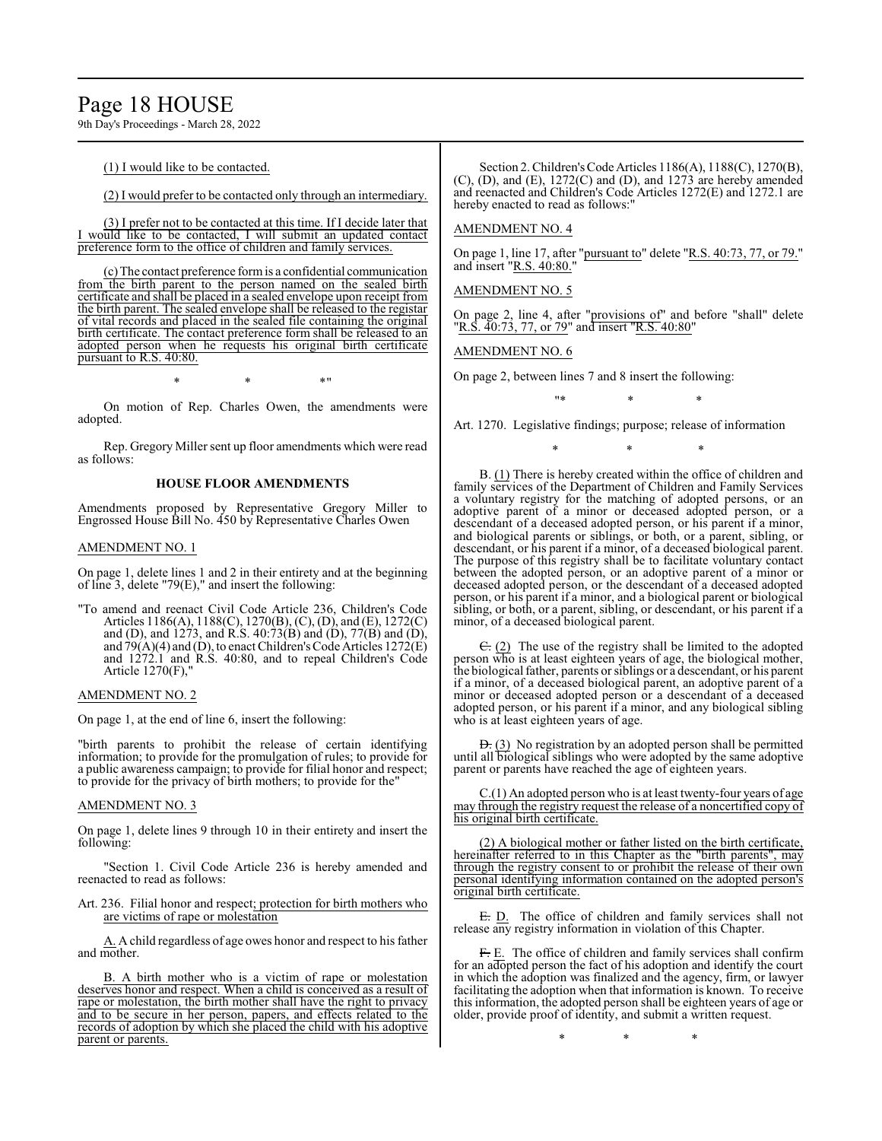## Page 18 HOUSE

9th Day's Proceedings - March 28, 2022

(1) I would like to be contacted.

(2) I would prefer to be contacted only through an intermediary.

(3) I prefer not to be contacted at this time. If I decide later that I would like to be contacted, I will submit an updated contact preference form to the office of children and family services.

(c) The contact preference formis a confidential communication from the birth parent to the person named on the sealed birth certificate and shall be placed in a sealed envelope upon receipt from the birth parent. The sealed envelope shall be released to the registar of vital records and placed in the sealed file containing the original birth certificate. The contact preference form shall be released to an adopted person when he requests his original birth certificate pursuant to R.S. 40:80.

 $*$  \*  $*$  \*  $*$  "

On motion of Rep. Charles Owen, the amendments were adopted.

Rep. Gregory Miller sent up floor amendments which were read as follows:

## **HOUSE FLOOR AMENDMENTS**

Amendments proposed by Representative Gregory Miller to Engrossed House Bill No. 450 by Representative Charles Owen

#### AMENDMENT NO. 1

On page 1, delete lines 1 and 2 in their entirety and at the beginning of line 3, delete "79(E)," and insert the following:

"To amend and reenact Civil Code Article 236, Children's Code Articles 1186(A), 1188(C), 1270(B), (C), (D), and (E), 1272(C) and (D), and 1273, and R.S. 40:73(B) and (D), 77(B) and (D), and 79(A)(4) and (D), to enact Children's Code Articles 1272(E) and 1272.1 and R.S. 40:80, and to repeal Children's Code Article 1270(F),"

#### AMENDMENT NO. 2

On page 1, at the end of line 6, insert the following:

"birth parents to prohibit the release of certain identifying information; to provide for the promulgation of rules; to provide for a public awareness campaign; to provide for filial honor and respect; to provide for the privacy of birth mothers; to provide for the"

#### AMENDMENT NO. 3

On page 1, delete lines 9 through 10 in their entirety and insert the following:

"Section 1. Civil Code Article 236 is hereby amended and reenacted to read as follows:

Art. 236. Filial honor and respect; protection for birth mothers who are victims of rape or molestation

A. A child regardless of age owes honor and respect to his father and mother.

B. A birth mother who is a victim of rape or molestation deserves honor and respect. When a child is conceived as a result of rape or molestation, the birth mother shall have the right to privacy and to be secure in her person, papers, and effects related to the records of adoption by which she placed the child with his adoptive parent or parents.

Section 2. Children's Code Articles 1186(A), 1188(C), 1270(B), (C), (D), and (E), 1272(C) and (D), and 1273 are hereby amended and reenacted and Children's Code Articles 1272(E) and 1272.1 are hereby enacted to read as follows:"

#### AMENDMENT NO. 4

On page 1, line 17, after "pursuant to" delete "R.S. 40:73, 77, or 79." and insert "R.S. 40:80."

AMENDMENT NO. 5

On page 2, line 4, after "provisions of" and before "shall" delete "R.S. 40:73, 77, or 79" and insert "R.S. 40:80"

AMENDMENT NO. 6

On page 2, between lines 7 and 8 insert the following:

"\* \* \*

Art. 1270. Legislative findings; purpose; release of information \* \* \*

B. (1) There is hereby created within the office of children and family services of the Department of Children and Family Services a voluntary registry for the matching of adopted persons, or an adoptive parent of a minor or deceased adopted person, or a descendant of a deceased adopted person, or his parent if a minor, and biological parents or siblings, or both, or a parent, sibling, or descendant, or his parent if a minor, of a deceased biological parent. The purpose of this registry shall be to facilitate voluntary contact between the adopted person, or an adoptive parent of a minor or deceased adopted person, or the descendant of a deceased adopted person, or his parent if a minor, and a biological parent or biological sibling, or both, or a parent, sibling, or descendant, or his parent if a minor, of a deceased biological parent.

 $\overline{C}$ . (2) The use of the registry shall be limited to the adopted person who is at least eighteen years of age, the biological mother, the biological father, parents or siblings or a descendant, or his parent if a minor, of a deceased biological parent, an adoptive parent of a minor or deceased adopted person or a descendant of a deceased adopted person, or his parent if a minor, and any biological sibling who is at least eighteen years of age.

 $\overline{D}$ . (3) No registration by an adopted person shall be permitted until all biological siblings who were adopted by the same adoptive parent or parents have reached the age of eighteen years.

C.(1) An adopted person who is at least twenty-four years of age may through the registry request the release of a noncertified copy of his original birth certificate.

(2) A biological mother or father listed on the birth certificate, hereinafter referred to in this Chapter as the "birth parents", may through the registry consent to or prohibit the release of their own personal identifying information contained on the adopted person's original birth certificate.

E. D. The office of children and family services shall not release any registry information in violation of this Chapter.

F. E. The office of children and family services shall confirm for an adopted person the fact of his adoption and identify the court in which the adoption was finalized and the agency, firm, or lawyer facilitating the adoption when that information is known. To receive this information, the adopted person shall be eighteen years of age or older, provide proof of identity, and submit a written request.

\* \* \*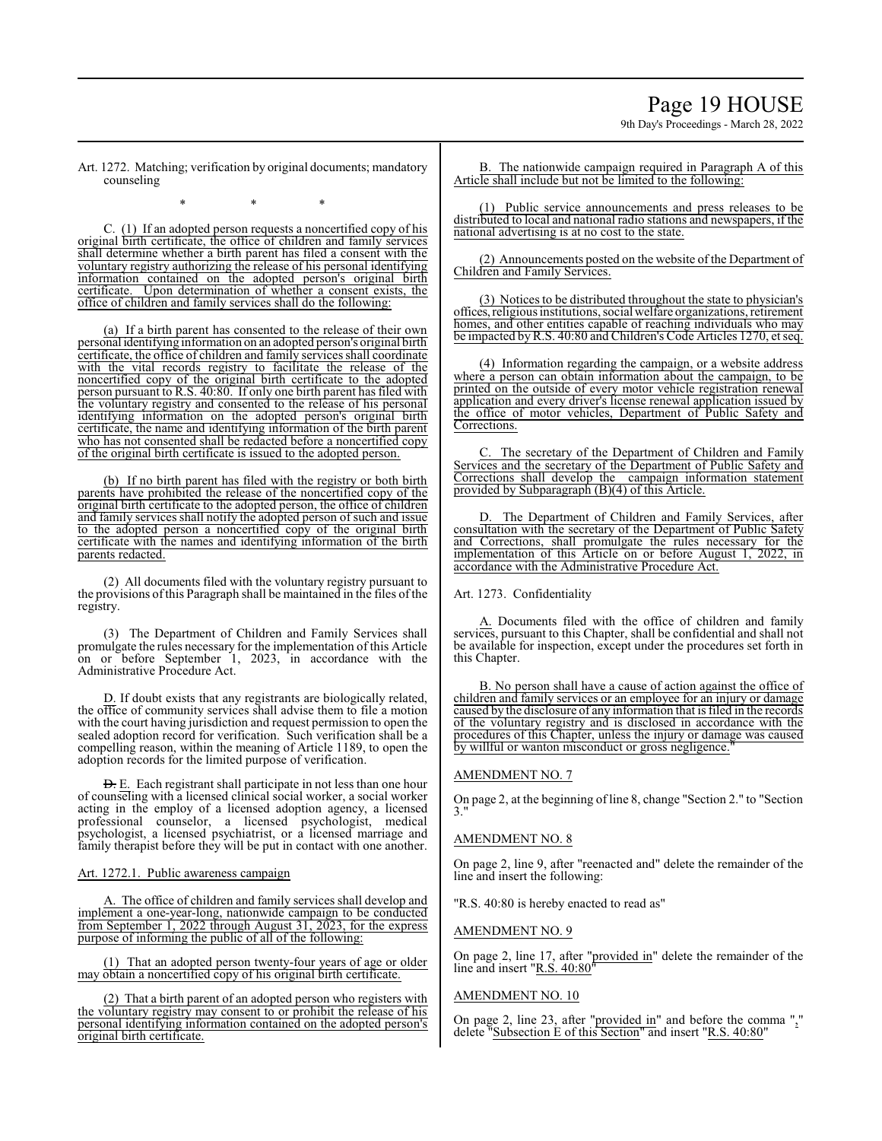# Page 19 HOUSE

9th Day's Proceedings - March 28, 2022

Art. 1272. Matching; verification by original documents; mandatory counseling

\* \* \*

C. (1) If an adopted person requests a noncertified copy of his original birth certificate, the office of children and family services shall determine whether a birth parent has filed a consent with the voluntary registry authorizing the release of his personal identifying information contained on the adopted person's original birth certificate. Upon determination of whether a consent exists, the office of children and family services shall do the following:

(a) If a birth parent has consented to the release of their own personalidentifying information on an adopted person's original birth certificate, the office of children and family services shall coordinate with the vital records registry to facilitate the release of the noncertified copy of the original birth certificate to the adopted person pursuant to R.S. 40:80. If only one birth parent has filed with the voluntary registry and consented to the release of his personal identifying information on the adopted person's original birth certificate, the name and identifying information of the birth parent who has not consented shall be redacted before a noncertified copy of the original birth certificate is issued to the adopted person.

(b) If no birth parent has filed with the registry or both birth parents have prohibited the release of the noncertified copy of the original birth certificate to the adopted person, the office of children and family services shall notify the adopted person of such and issue to the adopted person a noncertified copy of the original birth certificate with the names and identifying information of the birth parents redacted.

(2) All documents filed with the voluntary registry pursuant to the provisions ofthis Paragraph shall be maintained in the files ofthe registry.

(3) The Department of Children and Family Services shall promulgate the rules necessary for the implementation of this Article on or before September 1, 2023, in accordance with the Administrative Procedure Act.

D. If doubt exists that any registrants are biologically related, the office of community services shall advise them to file a motion with the court having jurisdiction and request permission to open the sealed adoption record for verification. Such verification shall be a compelling reason, within the meaning of Article 1189, to open the adoption records for the limited purpose of verification.

D. E. Each registrant shall participate in not less than one hour of counseling with a licensed clinical social worker, a social worker acting in the employ of a licensed adoption agency, a licensed professional counselor, a licensed psychologist, medical psychologist, a licensed psychiatrist, or a licensed marriage and family therapist before they will be put in contact with one another.

Art. 1272.1. Public awareness campaign

The office of children and family services shall develop and implement a one-year-long, nationwide campaign to be conducted from September 1, 2022 through August 31, 2023, for the express purpose of informing the public of all of the following:

(1) That an adopted person twenty-four years of age or older may obtain a noncertified copy of his original birth certificate.

(2) That a birth parent of an adopted person who registers with the voluntary registry may consent to or prohibit the release of his personal identifying information contained on the adopted person's original birth certificate.

B. The nationwide campaign required in Paragraph A of this Article shall include but not be limited to the following:

(1) Public service announcements and press releases to be distributed to local and national radio stations and newspapers, if the national advertising is at no cost to the state.

(2) Announcements posted on the website of the Department of Children and Family Services.

(3) Notices to be distributed throughout the state to physician's offices,religious institutions, social welfare organizations, retirement homes, and other entities capable of reaching individuals who may be impacted byR.S. 40:80 and Children's Code Articles 1270, et seq.

(4) Information regarding the campaign, or a website address where a person can obtain information about the campaign, to be printed on the outside of every motor vehicle registration renewal application and every driver's license renewal application issued by the office of motor vehicles, Department of Public Safety and Corrections.

C. The secretary of the Department of Children and Family Services and the secretary of the Department of Public Safety and Corrections shall develop the campaign information statement provided by Subparagraph (B)(4) of this Article.

D. The Department of Children and Family Services, after consultation with the secretary of the Department of Public Safety and Corrections, shall promulgate the rules necessary for the implementation of this Article on or before August 1, 2022, in implementation of this Article on or before August 1, accordance with the Administrative Procedure Act.

Art. 1273. Confidentiality

A. Documents filed with the office of children and family services, pursuant to this Chapter, shall be confidential and shall not be available for inspection, except under the procedures set forth in this Chapter.

B. No person shall have a cause of action against the office of children and family services or an employee for an injury or damage caused by the disclosure of any information that is filed in the records of the voluntary registry and is disclosed in accordance with the procedures of this Chapter, unless the injury or damage was caused by willful or wanton misconduct or gross negligence.

## AMENDMENT NO. 7

On page 2, at the beginning of line 8, change "Section 2." to "Section 3."

## AMENDMENT NO. 8

On page 2, line 9, after "reenacted and" delete the remainder of the line and insert the following:

"R.S. 40:80 is hereby enacted to read as"

## AMENDMENT NO. 9

On page 2, line 17, after "provided in" delete the remainder of the line and insert "R.S. 40:80"

## AMENDMENT NO. 10

On page 2, line 23, after "provided in" and before the comma "," delete "Subsection E of this Section" and insert "R.S. 40:80"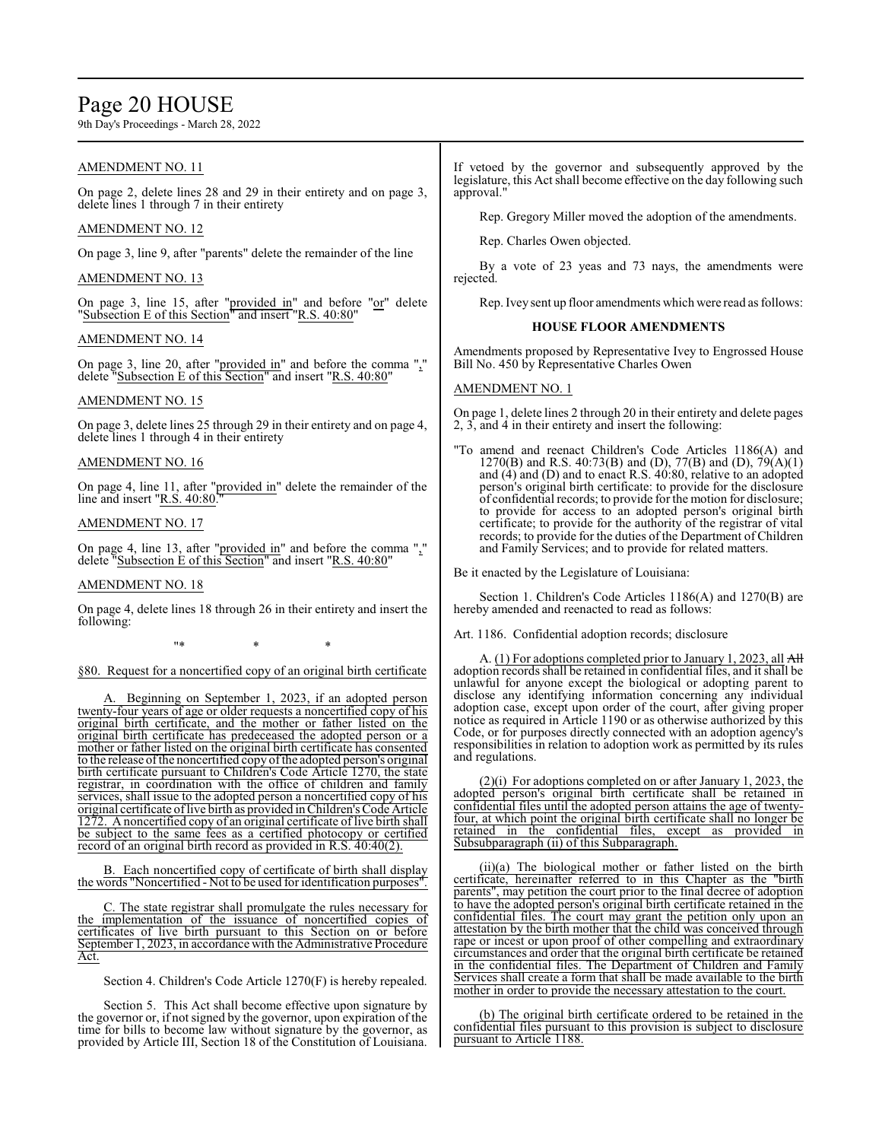## Page 20 HOUSE

9th Day's Proceedings - March 28, 2022

## AMENDMENT NO. 11

On page 2, delete lines 28 and 29 in their entirety and on page 3, delete lines 1 through 7 in their entirety

## AMENDMENT NO. 12

On page 3, line 9, after "parents" delete the remainder of the line

### AMENDMENT NO. 13

On page 3, line 15, after "provided in" and before "or" delete "Subsection E of this Section" and insert "R.S. 40:80"

### AMENDMENT NO. 14

On page 3, line 20, after "provided in" and before the comma "," delete "Subsection E of this Section" and insert "R.S. 40:80"

## AMENDMENT NO. 15

On page 3, delete lines 25 through 29 in their entirety and on page 4, delete lines 1 through 4 in their entirety

#### AMENDMENT NO. 16

On page 4, line 11, after "provided in" delete the remainder of the line and insert  $"R.S. 40:80$ .

## AMENDMENT NO. 17

On page 4, line 13, after "provided in" and before the comma "," delete "Subsection E of this Section" and insert "R.S. 40:80"

#### AMENDMENT NO. 18

On page 4, delete lines 18 through 26 in their entirety and insert the following:

\* \* \* \* \*

§80. Request for a noncertified copy of an original birth certificate

Beginning on September 1, 2023, if an adopted person twenty-four years of age or older requests a noncertified copy of his original birth certificate, and the mother or father listed on the original birth certificate has predeceased the adopted person or a mother or father listed on the original birth certificate has consented to the release of the noncertified copy of the adopted person's original birth certificate pursuant to Children's Code Article 1270, the state registrar, in coordination with the office of children and family services, shall issue to the adopted person a noncertified copy of his original certificate oflive birth as provided inChildren's Code Article 1272. A noncertified copy of an original certificate of live birth shall be subject to the same fees as a certified photocopy or certified record of an original birth record as provided in R.S. 40:40(2).

B. Each noncertified copy of certificate of birth shall display the words "Noncertified - Not to be used for identification purposes".

C. The state registrar shall promulgate the rules necessary for the implementation of the issuance of noncertified copies of certificates of live birth pursuant to this Section on or before September 1, 2023, in accordance with the Administrative Procedure Act.

Section 4. Children's Code Article 1270(F) is hereby repealed.

Section 5. This Act shall become effective upon signature by the governor or, if not signed by the governor, upon expiration of the time for bills to become law without signature by the governor, as provided by Article III, Section 18 of the Constitution of Louisiana.

If vetoed by the governor and subsequently approved by the legislature, this Act shall become effective on the day following such approval."

Rep. Gregory Miller moved the adoption of the amendments.

Rep. Charles Owen objected.

By a vote of 23 yeas and 73 nays, the amendments were rejected.

Rep. Ivey sent up floor amendments which were read as follows:

#### **HOUSE FLOOR AMENDMENTS**

Amendments proposed by Representative Ivey to Engrossed House Bill No. 450 by Representative Charles Owen

### AMENDMENT NO. 1

On page 1, delete lines 2 through 20 in their entirety and delete pages 2, 3, and 4 in their entirety and insert the following:

"To amend and reenact Children's Code Articles 1186(A) and 1270(B) and R.S. 40:73(B) and (D), 77(B) and (D), 79(A)(1) and (4) and (D) and to enact R.S. 40:80, relative to an adopted person's original birth certificate: to provide for the disclosure of confidential records; to provide for the motion for disclosure; to provide for access to an adopted person's original birth certificate; to provide for the authority of the registrar of vital records; to provide for the duties of the Department of Children and Family Services; and to provide for related matters.

Be it enacted by the Legislature of Louisiana:

Section 1. Children's Code Articles 1186(A) and 1270(B) are hereby amended and reenacted to read as follows:

Art. 1186. Confidential adoption records; disclosure

A. (1) For adoptions completed prior to January 1, 2023, all All adoption records shall be retained in confidential files, and it shall be unlawful for anyone except the biological or adopting parent to disclose any identifying information concerning any individual adoption case, except upon order of the court, after giving proper notice as required in Article 1190 or as otherwise authorized by this Code, or for purposes directly connected with an adoption agency's responsibilities in relation to adoption work as permitted by its rules and regulations.

(2)(i) For adoptions completed on or after January 1, 2023, the adopted person's original birth certificate shall be retained in confidential files until the adopted person attains the age of twentyfour, at which point the original birth certificate shall no longer be retained in the confidential files, except as provided in Subsubparagraph (ii) of this Subparagraph.

(ii)(a) The biological mother or father listed on the birth certificate, hereinafter referred to in this Chapter as the "birth parents", may petition the court prior to the final decree of adoption to have the adopted person's original birth certificate retained in the confidential files. The court may grant the petition only upon an attestation by the birth mother that the child was conceived through rape or incest or upon proof of other compelling and extraordinary circumstances and order that the original birth certificate be retained in the confidential files. The Department of Children and Family Services shall create a form that shall be made available to the birth mother in order to provide the necessary attestation to the court.

(b) The original birth certificate ordered to be retained in the confidential files pursuant to this provision is subject to disclosure pursuant to Article 1188.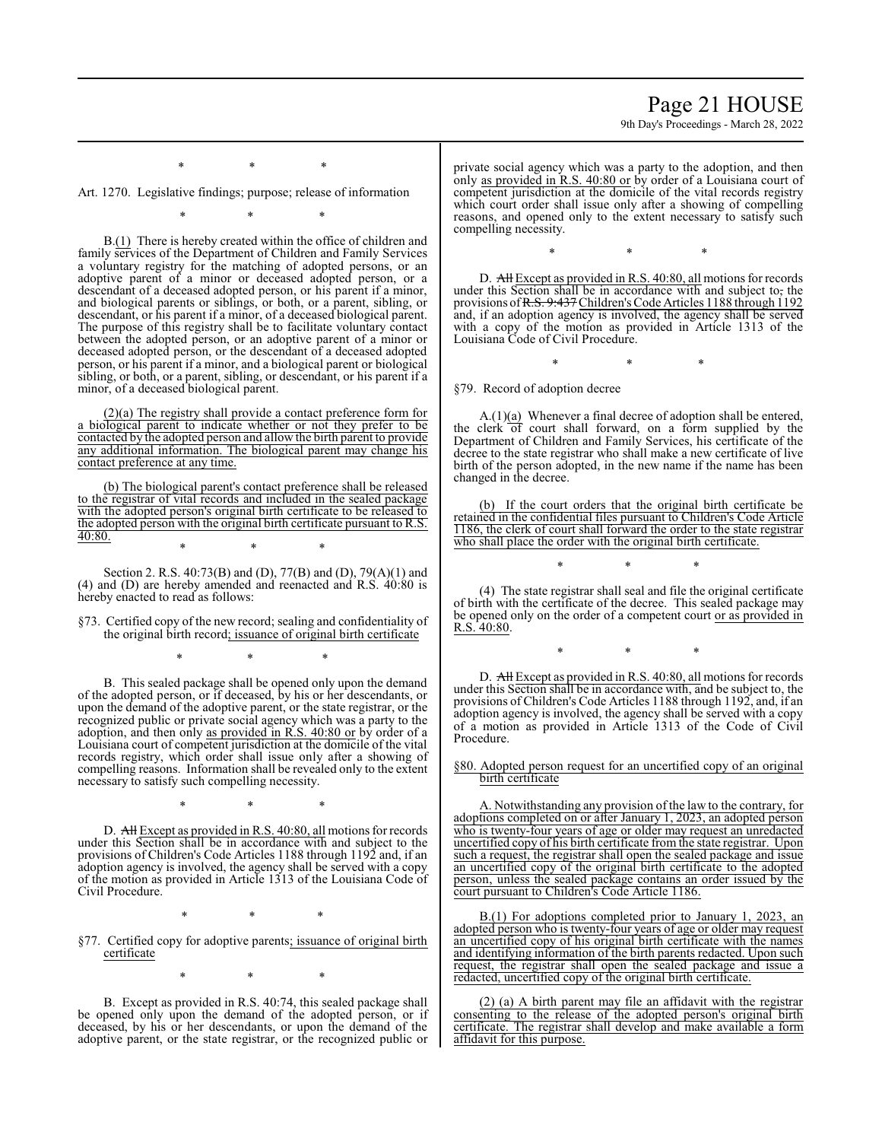## Page 21 HOUSE

9th Day's Proceedings - March 28, 2022

Art. 1270. Legislative findings; purpose; release of information

\* \* \*

\* \* \*

B.(1) There is hereby created within the office of children and family services of the Department of Children and Family Services a voluntary registry for the matching of adopted persons, or an adoptive parent of a minor or deceased adopted person, or a descendant of a deceased adopted person, or his parent if a minor, and biological parents or siblings, or both, or a parent, sibling, or descendant, or his parent if a minor, of a deceased biological parent. The purpose of this registry shall be to facilitate voluntary contact between the adopted person, or an adoptive parent of a minor or deceased adopted person, or the descendant of a deceased adopted person, or his parent if a minor, and a biological parent or biological sibling, or both, or a parent, sibling, or descendant, or his parent if a minor, of a deceased biological parent.

(2)(a) The registry shall provide a contact preference form for a biological parent to indicate whether or not they prefer to be contacted by the adopted person and allow the birth parent to provide any additional information. The biological parent may change his contact preference at any time.

(b) The biological parent's contact preference shall be released to the registrar of vital records and included in the sealed package with the adopted person's original birth certificate to be released to the adopted person with the original birth certificate pursuant to R.S. 40:80. \* \* \*

Section 2. R.S. 40:73(B) and (D), 77(B) and (D), 79(A)(1) and (4) and (D) are hereby amended and reenacted and R.S. 40:80 is hereby enacted to read as follows:

§73. Certified copy of the new record; sealing and confidentiality of the original birth record; issuance of original birth certificate

\* \* \*

B. This sealed package shall be opened only upon the demand of the adopted person, or if deceased, by his or her descendants, or upon the demand of the adoptive parent, or the state registrar, or the recognized public or private social agency which was a party to the adoption, and then only as provided in R.S. 40:80 or by order of a Louisiana court of competent jurisdiction at the domicile of the vital records registry, which order shall issue only after a showing of compelling reasons. Information shall be revealed only to the extent necessary to satisfy such compelling necessity.

D. All Except as provided in R.S. 40:80, all motions for records under this Section shall be in accordance with and subject to the provisions of Children's Code Articles 1188 through 1192 and, if an adoption agency is involved, the agency shall be served with a copy of the motion as provided in Article 1313 of the Louisiana Code of Civil Procedure.

\* \* \*

\* \* \*

§77. Certified copy for adoptive parents; issuance of original birth certificate

\* \* \*

B. Except as provided in R.S. 40:74, this sealed package shall be opened only upon the demand of the adopted person, or if deceased, by his or her descendants, or upon the demand of the adoptive parent, or the state registrar, or the recognized public or private social agency which was a party to the adoption, and then only as provided in R.S. 40:80 or by order of a Louisiana court of competent jurisdiction at the domicile of the vital records registry which court order shall issue only after a showing of compelling reasons, and opened only to the extent necessary to satisfy such compelling necessity.

D. All Except as provided in R.S. 40:80, all motions for records under this Section shall be in accordance with and subject to, the

\* \* \*

provisions of <del>R.S. 9:437</del> Children's Code Articles 1188 through 1192 and, if an adoption agency is involved, the agency shall be served with a copy of the motion as provided in Article 1313 of the Louisiana Code of Civil Procedure.

\* \* \*

§79. Record of adoption decree

 $A(1)(a)$  Whenever a final decree of adoption shall be entered, the clerk of court shall forward, on a form supplied by the Department of Children and Family Services, his certificate of the decree to the state registrar who shall make a new certificate of live birth of the person adopted, in the new name if the name has been changed in the decree.

(b) If the court orders that the original birth certificate be retained in the confidential files pursuant to Children's Code Article 1186, the clerk of court shall forward the order to the state registrar who shall place the order with the original birth certificate.

(4) The state registrar shall seal and file the original certificate of birth with the certificate of the decree. This sealed package may be opened only on the order of a competent court or as provided in R.S. 40:80.

\* \* \*

\* \* \* D. All Except as provided in R.S. 40:80, all motions for records

under this Section shall be in accordance with, and be subject to, the provisions of Children's Code Articles 1188 through 1192, and, if an adoption agency is involved, the agency shall be served with a copy of a motion as provided in Article 1313 of the Code of Civil Procedure.

§80. Adopted person request for an uncertified copy of an original birth certificate

A. Notwithstanding any provision of the law to the contrary, for adoptions completed on or after January 1, 2023, an adopted person who is twenty-four years of age or older may request an unredacted uncertified copy of his birth certificate from the state registrar. Upon such a request, the registrar shall open the sealed package and issue an uncertified copy of the original birth certificate to the adopted person, unless the sealed package contains an order issued by the court pursuant to Children's Code Article 1186.

B.(1) For adoptions completed prior to January 1, 2023, an adopted person who is twenty-four years of age or older may request an uncertified copy of his original birth certificate with the names and identifying information of the birth parents redacted. Upon such request, the registrar shall open the sealed package and issue a redacted, uncertified copy of the original birth certificate.

(2) (a) A birth parent may file an affidavit with the registrar consenting to the release of the adopted person's original birth certificate. The registrar shall develop and make available a form affidavit for this purpose.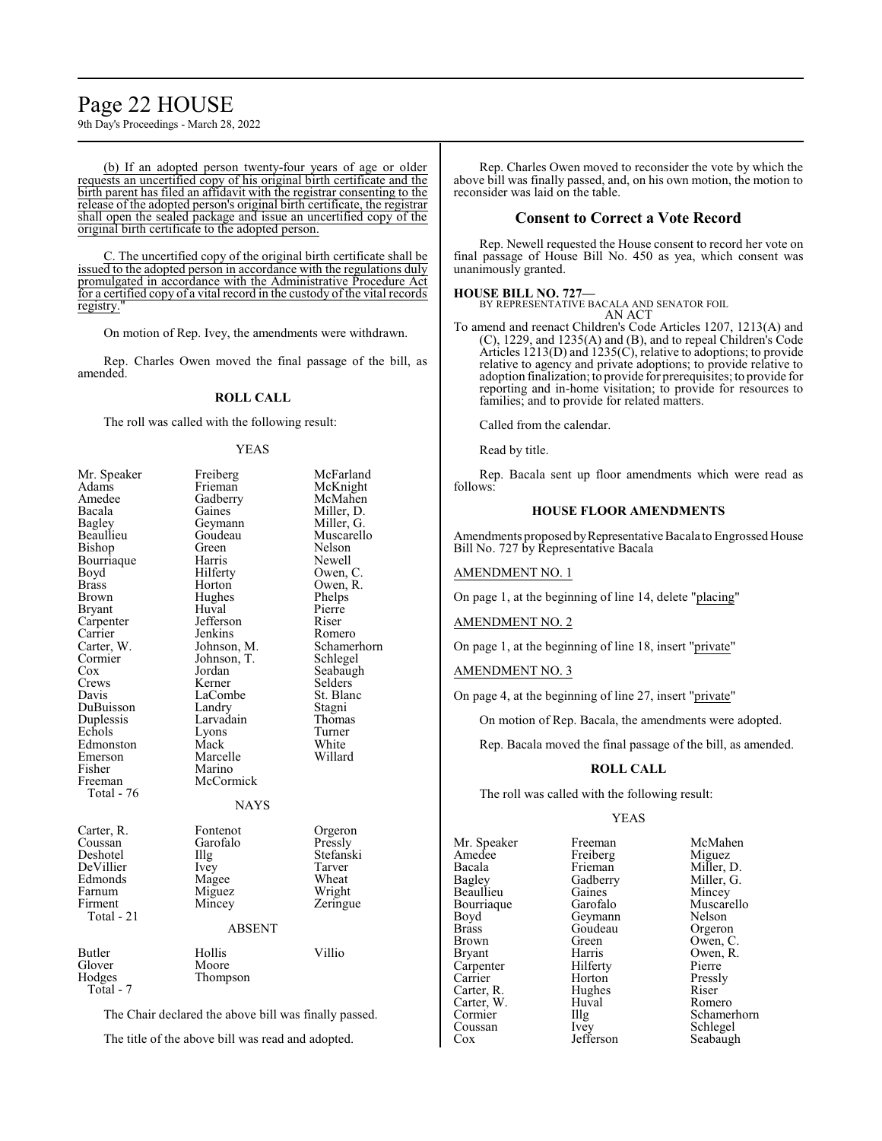# Page 22 HOUSE

9th Day's Proceedings - March 28, 2022

(b) If an adopted person twenty-four years of age or older requests an uncertified copy of his original birth certificate and the birth parent has filed an affidavit with the registrar consenting to the release of the adopted person's original birth certificate, the registrar shall open the sealed package and issue an uncertified copy of the original birth certificate to the adopted person.

C. The uncertified copy of the original birth certificate shall be issued to the adopted person in accordance with the regulations duly promulgated in accordance with the Administrative Procedure Act for a certified copy of a vital record in the custody of the vital records registry.

On motion of Rep. Ivey, the amendments were withdrawn.

Rep. Charles Owen moved the final passage of the bill, as amended.

#### **ROLL CALL**

The roll was called with the following result:

#### YEAS

| Mr. Speaker   | Freiberg      | McFarland   |
|---------------|---------------|-------------|
| Adams         | Frieman       | McKnight    |
| Amedee        | Gadberry      | McMahen     |
| Bacala        | Gaines        | Miller, D.  |
| <b>Bagley</b> | Geymann       | Miller, G.  |
| Beaullieu     | Goudeau       | Muscarello  |
| Bishop        | Green         | Nelson      |
| Bourriaque    | Harris        | Newell      |
| Boyd          | Hilferty      | Owen, C.    |
| Brass         | Horton        | Owen, R.    |
| Brown         | Hughes        | Phelps      |
| Bryant        | Huval         | Pierre      |
| Carpenter     | Jefferson     | Riser       |
| Carrier       | Jenkins       | Romero      |
| Carter, W.    | Johnson, M.   | Schamerhorn |
| Cormier       | Johnson, T.   | Schlegel    |
| Cox           | Jordan        | Seabaugh    |
| Crews         | Kerner        | Selders     |
| Davis         | LaCombe       | St. Blanc   |
| DuBuisson     | Landry        | Stagni      |
| Duplessis     | Larvadain     | Thomas      |
| Echols        | Lyons         | Turner      |
| Edmonston     | Mack          | White       |
| Emerson       | Marcelle      | Willard     |
| Fisher        | Marino        |             |
| Freeman       | McCormick     |             |
| Total - 76    |               |             |
|               | <b>NAYS</b>   |             |
| Carter, R.    | Fontenot      | Orgeron     |
| Coussan       | Garofalo      | Pressly     |
| Deshotel      | Illg          | Stefanski   |
| DeVillier     | Ivey          | Tarver      |
| Edmonds       | Magee         | Wheat       |
| Farnum        | Miguez        | Wright      |
| Firment       | Mincey        | Zeringue    |
| Total - 21    |               |             |
|               | <b>ABSENT</b> |             |
| Butler        | Hollis        | Villio      |
| Glover        | Moore         |             |
| Hodges        | Thompson      |             |
| Total - 7     |               |             |
|               |               |             |

The Chair declared the above bill was finally passed.

The title of the above bill was read and adopted.

Rep. Charles Owen moved to reconsider the vote by which the above bill was finally passed, and, on his own motion, the motion to reconsider was laid on the table.

#### **Consent to Correct a Vote Record**

Rep. Newell requested the House consent to record her vote on final passage of House Bill No. 450 as yea, which consent was unanimously granted.

## **HOUSE BILL NO. 727—**

BY REPRESENTATIVE BACALA AND SENATOR FOIL AN ACT

To amend and reenact Children's Code Articles 1207, 1213(A) and (C), 1229, and 1235(A) and (B), and to repeal Children's Code Articles 1213(D) and 1235(C), relative to adoptions; to provide relative to agency and private adoptions; to provide relative to adoption finalization; to provide for prerequisites; to provide for reporting and in-home visitation; to provide for resources to families; and to provide for related matters.

Called from the calendar.

Read by title.

Rep. Bacala sent up floor amendments which were read as follows:

## **HOUSE FLOOR AMENDMENTS**

Amendments proposed byRepresentative Bacala to Engrossed House Bill No. 727 by Representative Bacala

#### AMENDMENT NO. 1

On page 1, at the beginning of line 14, delete "placing"

#### AMENDMENT NO. 2

On page 1, at the beginning of line 18, insert "private"

### AMENDMENT NO. 3

On page 4, at the beginning of line 27, insert "private"

On motion of Rep. Bacala, the amendments were adopted.

Rep. Bacala moved the final passage of the bill, as amended.

## **ROLL CALL**

The roll was called with the following result:

#### YEAS

Mr. Speaker Freeman McMahen<br>Amedee Freiberg Miguez Amedee Freiberg<br>Bacala Frieman Bacala Frieman Miller, D.<br>Baglev Gadberry Miller, G. Beaullieu Gaines Mincey<br>Bourriaque Garofalo Muscarello Bourriaque Garofalo Muscarello<br>Boyd Geymann Nelson Brass Goudeau<br>Brown Green Brown Green Owen, C.<br>Bryant Harris Owen, R. Carpenter Hilferty Pierre<br>
Carrier Horton Presslv Carter, R. Hughes Riser Carter, W. Huval Romero Carter, W. Huv<br>Cormier Illg Cox Jefferson Seabaugh

Horton Pressl<br>Hughes Riser

Gadberry Miller, 0<br>Gaines Mincey Geymann Nelson<br>Goudeau Orgeron Harris Owen, R.<br>Hilferty Pierre Cormier Illg Schamerhorn<br>
Coussan Ivev Schlegel Schlegel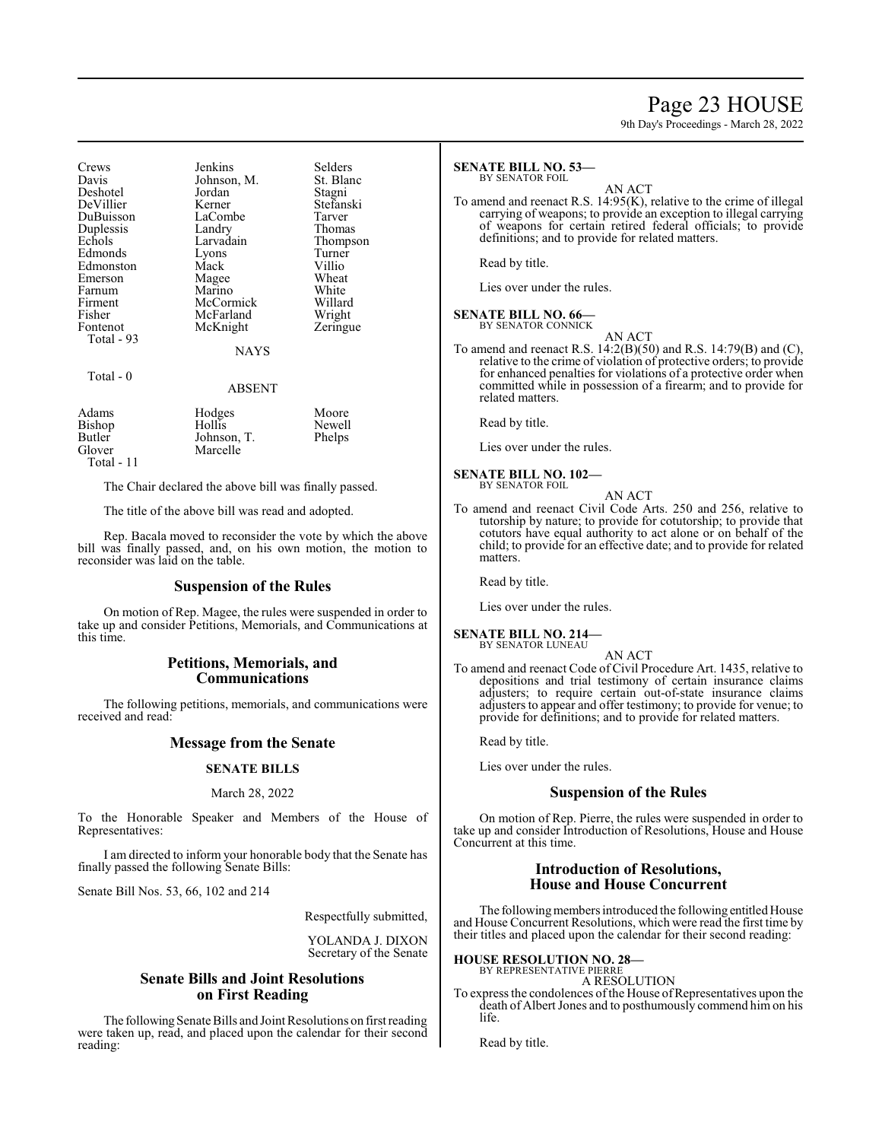## Page 23 HOUSE

9th Day's Proceedings - March 28, 2022

Crews Jenkins Selders<br>Davis Johnson M. St. Blanc Johnson, M. St. Blanch<br>Jordan Stagni Deshotel Jordan Stagni DeVillier Kerner Stefans<br>DuBuisson LaCombe Tarver DuBuisson LaCombe Tarver Duplessis Echols Larvadain Thompson<br>Edmonds Lyons Turner Edmonds Lyons Turne<br>
Edmonston Mack Villio Edmonston Mack Villio<br>Emerson Magee Wheat Emerson Magee Wheat<br>
Farnum Marino White Farnum Marino White<br>Firment McCormick Willard Firment McCormick Willard<br>Fisher McFarland Wright Fisher McFarland Wright<br>Fontenot McKnight Zeringue McKnight Total - 93 NAYS

### Total - 0

#### ABSENT

| Adams      | Hodges      | Moore  |
|------------|-------------|--------|
| Bishop     | Hollis      | Newell |
| Butler     | Johnson, T. | Phelps |
| Glover     | Marcelle    |        |
| Total - 11 |             |        |

The Chair declared the above bill was finally passed.

The title of the above bill was read and adopted.

Rep. Bacala moved to reconsider the vote by which the above bill was finally passed, and, on his own motion, the motion to reconsider was laid on the table.

## **Suspension of the Rules**

On motion of Rep. Magee, the rules were suspended in order to take up and consider Petitions, Memorials, and Communications at this time.

## **Petitions, Memorials, and Communications**

The following petitions, memorials, and communications were received and read:

## **Message from the Senate**

#### **SENATE BILLS**

#### March 28, 2022

To the Honorable Speaker and Members of the House of Representatives:

I am directed to inform your honorable body that the Senate has finally passed the following Senate Bills:

Senate Bill Nos. 53, 66, 102 and 214

Respectfully submitted,

YOLANDA J. DIXON Secretary of the Senate

## **Senate Bills and Joint Resolutions on First Reading**

The following Senate Bills and Joint Resolutions on first reading were taken up, read, and placed upon the calendar for their second reading:

#### **SENATE BILL NO. 53—** BY SENATOR FOIL

## AN ACT

To amend and reenact R.S. 14:95(K), relative to the crime of illegal carrying of weapons; to provide an exception to illegal carrying of weapons for certain retired federal officials; to provide definitions; and to provide for related matters.

Read by title.

Lies over under the rules.

#### **SENATE BILL NO. 66—** BY SENATOR CONNICK

AN ACT

To amend and reenact R.S. 14:2(B)(50) and R.S. 14:79(B) and (C), relative to the crime of violation of protective orders; to provide for enhanced penalties for violations of a protective order when committed while in possession of a firearm; and to provide for related matters.

Read by title.

Lies over under the rules.

## **SENATE BILL NO. 102—**

BY SENATOR FOIL AN ACT

To amend and reenact Civil Code Arts. 250 and 256, relative to tutorship by nature; to provide for cotutorship; to provide that cotutors have equal authority to act alone or on behalf of the child; to provide for an effective date; and to provide for related matters.

Read by title.

Lies over under the rules.

#### **SENATE BILL NO. 214—** BY SENATOR LUNEAU

AN ACT

To amend and reenact Code of Civil Procedure Art. 1435, relative to depositions and trial testimony of certain insurance claims adjusters; to require certain out-of-state insurance claims adjusters to appear and offer testimony; to provide for venue; to provide for definitions; and to provide for related matters.

Read by title.

Lies over under the rules.

## **Suspension of the Rules**

On motion of Rep. Pierre, the rules were suspended in order to take up and consider Introduction of Resolutions, House and House Concurrent at this time.

## **Introduction of Resolutions, House and House Concurrent**

The following members introduced the following entitled House and House Concurrent Resolutions, which were read the first time by their titles and placed upon the calendar for their second reading:

## **HOUSE RESOLUTION NO. 28—** BY REPRESENTATIVE PIERRE

A RESOLUTION

To express the condolences of the House of Representatives upon the death of Albert Jones and to posthumously commend him on his life.

Read by title.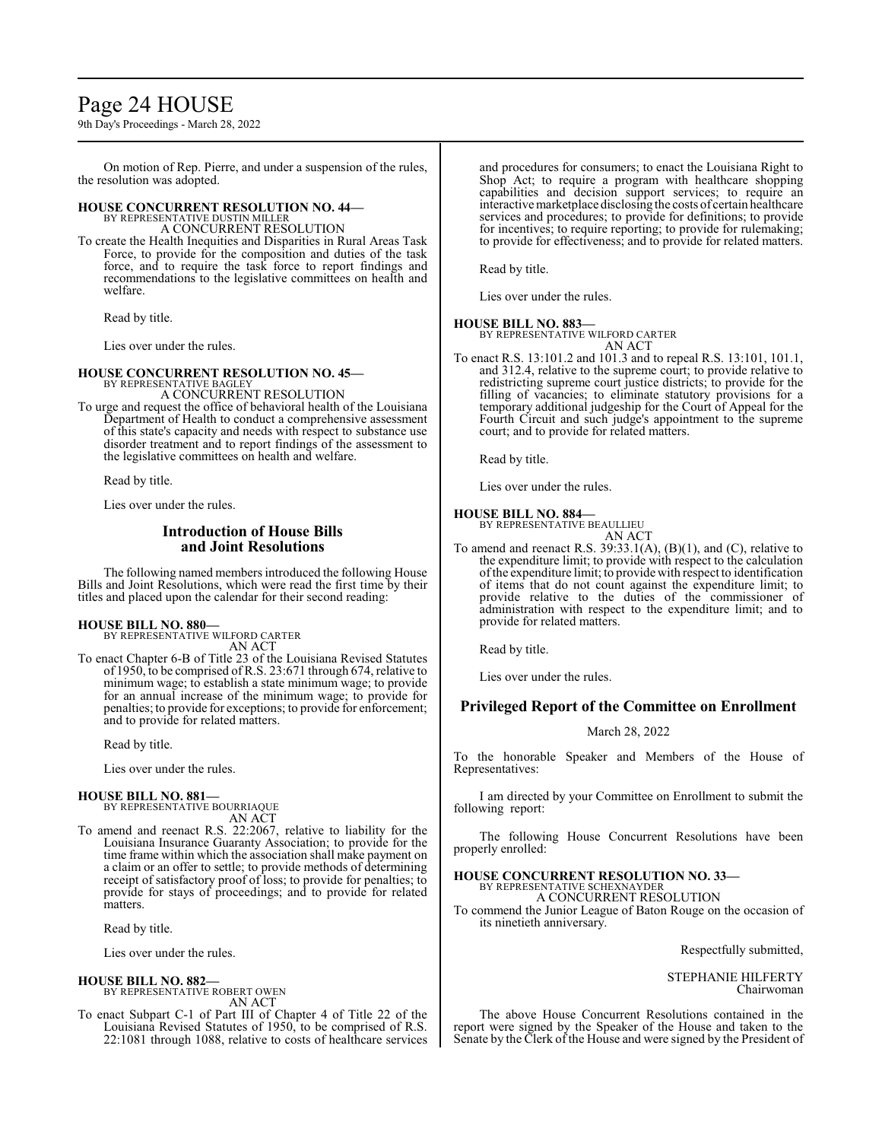## Page 24 HOUSE

9th Day's Proceedings - March 28, 2022

On motion of Rep. Pierre, and under a suspension of the rules, the resolution was adopted.

# **HOUSE CONCURRENT RESOLUTION NO. 44—** BY REPRESENTATIVE DUSTIN MILLER A CONCURRENT RESOLUTION

To create the Health Inequities and Disparities in Rural Areas Task Force, to provide for the composition and duties of the task force, and to require the task force to report findings and recommendations to the legislative committees on health and welfare.

Read by title.

Lies over under the rules.

#### **HOUSE CONCURRENT RESOLUTION NO. 45—** BY REPRESENTATIVE BAGLEY

A CONCURRENT RESOLUTION

To urge and request the office of behavioral health of the Louisiana Department of Health to conduct a comprehensive assessment of this state's capacity and needs with respect to substance use disorder treatment and to report findings of the assessment to the legislative committees on health and welfare.

Read by title.

Lies over under the rules.

## **Introduction of House Bills and Joint Resolutions**

The following named members introduced the following House Bills and Joint Resolutions, which were read the first time by their titles and placed upon the calendar for their second reading:

#### **HOUSE BILL NO. 880—**

BY REPRESENTATIVE WILFORD CARTER AN ACT

To enact Chapter 6-B of Title 23 of the Louisiana Revised Statutes of 1950, to be comprised of R.S. 23:671 through 674, relative to minimum wage; to establish a state minimum wage; to provide for an annual increase of the minimum wage; to provide for penalties; to provide for exceptions; to provide for enforcement; and to provide for related matters.

Read by title.

Lies over under the rules.

## **HOUSE BILL NO. 881—** BY REPRESENTATIVE BOURRIAQUE

AN ACT

To amend and reenact R.S. 22:2067, relative to liability for the Louisiana Insurance Guaranty Association; to provide for the time frame within which the association shall make payment on a claim or an offer to settle; to provide methods of determining receipt of satisfactory proof of loss; to provide for penalties; to provide for stays of proceedings; and to provide for related matters.

Read by title.

Lies over under the rules.

#### **HOUSE BILL NO. 882—**

BY REPRESENTATIVE ROBERT OWEN AN ACT

To enact Subpart C-1 of Part III of Chapter 4 of Title 22 of the Louisiana Revised Statutes of 1950, to be comprised of R.S. 22:1081 through 1088, relative to costs of healthcare services

and procedures for consumers; to enact the Louisiana Right to Shop Act; to require a program with healthcare shopping capabilities and decision support services; to require an interactive marketplacedisclosing the costs of certain healthcare services and procedures; to provide for definitions; to provide for incentives; to require reporting; to provide for rulemaking; to provide for effectiveness; and to provide for related matters.

Read by title.

Lies over under the rules.

## **HOUSE BILL NO. 883—**

BY REPRESENTATIVE WILFORD CARTER AN ACT

To enact R.S. 13:101.2 and 101.3 and to repeal R.S. 13:101, 101.1, and 312.4, relative to the supreme court; to provide relative to redistricting supreme court justice districts; to provide for the filling of vacancies; to eliminate statutory provisions for a temporary additional judgeship for the Court of Appeal for the Fourth Circuit and such judge's appointment to the supreme court; and to provide for related matters.

Read by title.

Lies over under the rules.

## **HOUSE BILL NO. 884—**

BY REPRESENTATIVE BEAULLIEU AN ACT

To amend and reenact R.S. 39:33.1(A), (B)(1), and (C), relative to the expenditure limit; to provide with respect to the calculation ofthe expenditure limit; to provide with respect to identification of items that do not count against the expenditure limit; to provide relative to the duties of the commissioner of administration with respect to the expenditure limit; and to provide for related matters.

Read by title.

Lies over under the rules.

## **Privileged Report of the Committee on Enrollment**

## March 28, 2022

To the honorable Speaker and Members of the House of Representatives:

I am directed by your Committee on Enrollment to submit the following report:

The following House Concurrent Resolutions have been properly enrolled:

# **HOUSE CONCURRENT RESOLUTION NO. 33—** BY REPRESENTATIVE SCHEXNAYDER

A CONCURRENT RESOLUTION

To commend the Junior League of Baton Rouge on the occasion of its ninetieth anniversary.

Respectfully submitted,

STEPHANIE HILFERTY Chairwoman

The above House Concurrent Resolutions contained in the report were signed by the Speaker of the House and taken to the Senate by the Clerk of the House and were signed by the President of